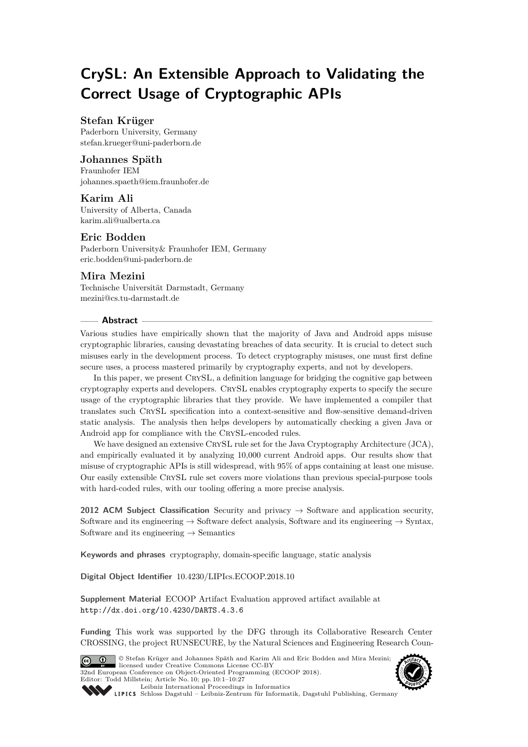# **CrySL: An Extensible Approach to Validating the Correct Usage of Cryptographic APIs**

# **Stefan Krüger**

Paderborn University, Germany [stefan.krueger@uni-paderborn.de](mailto:stefan.krueger@uni-paderborn.de)

# **Johannes Späth**

Fraunhofer IEM [johannes.spaeth@iem.fraunhofer.de](mailto:johannes.spaeth@iem.fraunhofer.de)

### **Karim Ali**

University of Alberta, Canada [karim.ali@ualberta.ca](mailto:karim.ali@ualberta.ca)

### **Eric Bodden**

Paderborn University& Fraunhofer IEM, Germany [eric.bodden@uni-paderborn.de](mailto:eric.bodden@uni-paderborn.de)

### **Mira Mezini**

Technische Universität Darmstadt, Germany [mezini@cs.tu-darmstadt.de](mailto:mezini@cs.tu-darmstadt.de)

### **Abstract**

Various studies have empirically shown that the majority of Java and Android apps misuse cryptographic libraries, causing devastating breaches of data security. It is crucial to detect such misuses early in the development process. To detect cryptography misuses, one must first define secure uses, a process mastered primarily by cryptography experts, and not by developers.

In this paper, we present CrySL, a definition language for bridging the cognitive gap between cryptography experts and developers. CrySL enables cryptography experts to specify the secure usage of the cryptographic libraries that they provide. We have implemented a compiler that translates such CrySL specification into a context-sensitive and flow-sensitive demand-driven static analysis. The analysis then helps developers by automatically checking a given Java or Android app for compliance with the CrySL-encoded rules.

We have designed an extensive CRYSL rule set for the Java Cryptography Architecture (JCA), and empirically evaluated it by analyzing 10,000 current Android apps. Our results show that misuse of cryptographic APIs is still widespread, with 95% of apps containing at least one misuse. Our easily extensible CrySL rule set covers more violations than previous special-purpose tools with hard-coded rules, with our tooling offering a more precise analysis.

**2012 ACM Subject Classification** Security and privacy → Software and application security, Software and its engineering  $\rightarrow$  Software defect analysis, Software and its engineering  $\rightarrow$  Syntax, Software and its engineering  $\rightarrow$  Semantics

**Keywords and phrases** cryptography, domain-specific language, static analysis

**Digital Object Identifier** [10.4230/LIPIcs.ECOOP.2018.10](http://dx.doi.org/10.4230/LIPIcs.ECOOP.2018.10)

**Supplement Material** ECOOP Artifact Evaluation approved artifact available at <http://dx.doi.org/10.4230/DARTS.4.3.6>

**Funding** This work was supported by the DFG through its Collaborative Research Center CROSSING, the project RUNSECURE, by the Natural Sciences and Engineering Research Coun-





Leibniz international Floretungs in missimosische Publishing, Germany<br>LIPICS [Schloss Dagstuhl – Leibniz-Zentrum für Informatik, Dagstuhl Publishing, Germany](http://www.dagstuhl.de)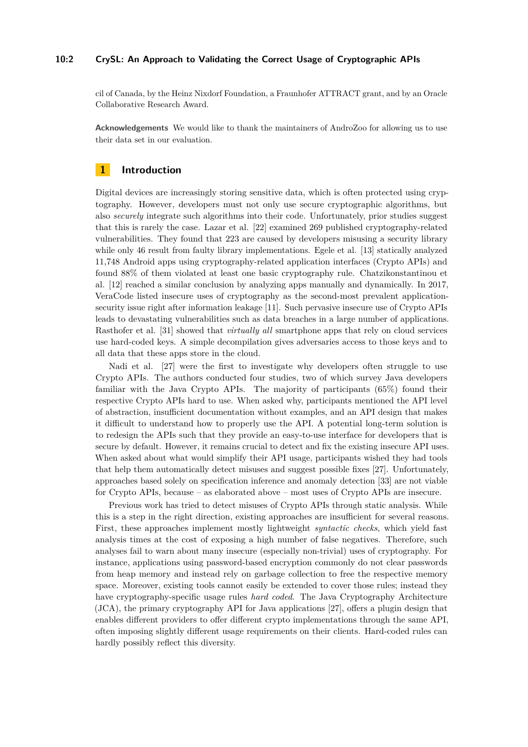### **10:2 CrySL: An Approach to Validating the Correct Usage of Cryptographic APIs**

cil of Canada, by the Heinz Nixdorf Foundation, a Fraunhofer ATTRACT grant, and by an Oracle Collaborative Research Award.

**Acknowledgements** We would like to thank the maintainers of AndroZoo for allowing us to use their data set in our evaluation.

# **1 Introduction**

Digital devices are increasingly storing sensitive data, which is often protected using cryptography. However, developers must not only use secure cryptographic algorithms, but also *securely* integrate such algorithms into their code. Unfortunately, prior studies suggest that this is rarely the case. Lazar et al. [\[22\]](#page-25-0) examined 269 published cryptography-related vulnerabilities. They found that 223 are caused by developers misusing a security library while only 46 result from faulty library implementations. Egele et al. [\[13\]](#page-25-1) statically analyzed 11,748 Android apps using cryptography-related application interfaces (Crypto APIs) and found 88% of them violated at least one basic cryptography rule. Chatzikonstantinou et al. [\[12\]](#page-25-2) reached a similar conclusion by analyzing apps manually and dynamically. In 2017, VeraCode listed insecure uses of cryptography as the second-most prevalent applicationsecurity issue right after information leakage [\[11\]](#page-24-0). Such pervasive insecure use of Crypto APIs leads to devastating vulnerabilities such as data breaches in a large number of applications. Rasthofer et al. [\[31\]](#page-26-1) showed that *virtually all* smartphone apps that rely on cloud services use hard-coded keys. A simple decompilation gives adversaries access to those keys and to all data that these apps store in the cloud.

Nadi et al. [\[27\]](#page-26-2) were the first to investigate why developers often struggle to use Crypto APIs. The authors conducted four studies, two of which survey Java developers familiar with the Java Crypto APIs. The majority of participants (65%) found their respective Crypto APIs hard to use. When asked why, participants mentioned the API level of abstraction, insufficient documentation without examples, and an API design that makes it difficult to understand how to properly use the API. A potential long-term solution is to redesign the APIs such that they provide an easy-to-use interface for developers that is secure by default. However, it remains crucial to detect and fix the existing insecure API uses. When asked about what would simplify their API usage, participants wished they had tools that help them automatically detect misuses and suggest possible fixes [\[27\]](#page-26-2). Unfortunately, approaches based solely on specification inference and anomaly detection [\[33\]](#page-26-3) are not viable for Crypto APIs, because – as elaborated above – most uses of Crypto APIs are insecure.

Previous work has tried to detect misuses of Crypto APIs through static analysis. While this is a step in the right direction, existing approaches are insufficient for several reasons. First, these approaches implement mostly lightweight *syntactic checks*, which yield fast analysis times at the cost of exposing a high number of false negatives. Therefore, such analyses fail to warn about many insecure (especially non-trivial) uses of cryptography. For instance, applications using password-based encryption commonly do not clear passwords from heap memory and instead rely on garbage collection to free the respective memory space. Moreover, existing tools cannot easily be extended to cover those rules; instead they have cryptography-specific usage rules *hard coded*. The Java Cryptography Architecture (JCA), the primary cryptography API for Java applications [\[27\]](#page-26-2), offers a plugin design that enables different providers to offer different crypto implementations through the same API, often imposing slightly different usage requirements on their clients. Hard-coded rules can hardly possibly reflect this diversity.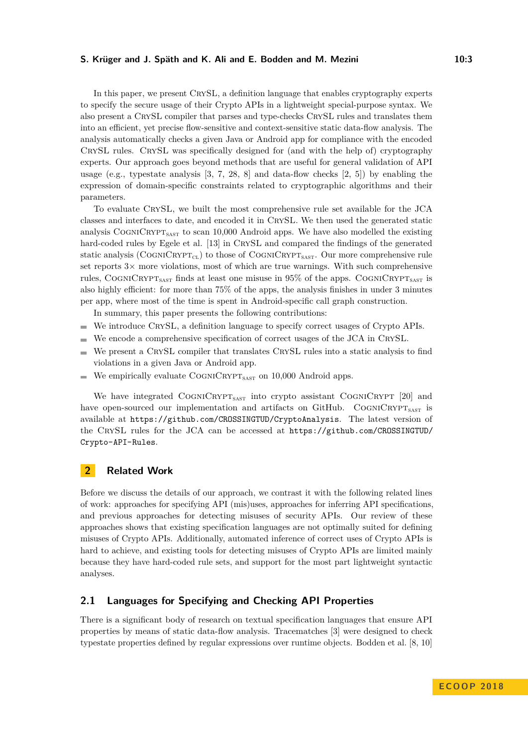In this paper, we present CRYSL, a definition language that enables cryptography experts to specify the secure usage of their Crypto APIs in a lightweight special-purpose syntax. We also present a CrySL compiler that parses and type-checks CrySL rules and translates them into an efficient, yet precise flow-sensitive and context-sensitive static data-flow analysis. The analysis automatically checks a given Java or Android app for compliance with the encoded CrySL rules. CrySL was specifically designed for (and with the help of) cryptography experts. Our approach goes beyond methods that are useful for general validation of API usage (e.g., typestate analysis  $[3, 7, 28, 8]$  $[3, 7, 28, 8]$  $[3, 7, 28, 8]$  $[3, 7, 28, 8]$  $[3, 7, 28, 8]$  $[3, 7, 28, 8]$  $[3, 7, 28, 8]$  and data-flow checks  $[2, 5]$  $[2, 5]$  $[2, 5]$ ) by enabling the expression of domain-specific constraints related to cryptographic algorithms and their parameters.

To evaluate CrySL, we built the most comprehensive rule set available for the JCA classes and interfaces to date, and encoded it in CrySL. We then used the generated static analysis COGNICRYPT<sub>SAST</sub> to scan 10,000 Android apps. We have also modelled the existing hard-coded rules by Egele et al. [\[13\]](#page-25-1) in CRYSL and compared the findings of the generated static analysis (COGNICRYPT<sub>CL</sub>) to those of COGNICRYPT<sub>SAST</sub>. Our more comprehensive rule set reports  $3\times$  more violations, most of which are true warnings. With such comprehensive rules, COGNICRYPT<sub>SAST</sub> finds at least one misuse in  $95\%$  of the apps. COGNICRYPT<sub>SAST</sub> is also highly efficient: for more than 75% of the apps, the analysis finishes in under 3 minutes per app, where most of the time is spent in Android-specific call graph construction.

In summary, this paper presents the following contributions:

- We introduce CRYSL, a definition language to specify correct usages of Crypto APIs.  $\sim$
- We encode a comprehensive specification of correct usages of the JCA in CRYSL.  $\equiv$
- We present a CRYSL compiler that translates CRYSL rules into a static analysis to find  $\sim$ violations in a given Java or Android app.
- We empirically evaluate  $\text{CoGNIC}\text{RYP}\text{T}_{\text{SAST}}$  on 10,000 Android apps.

We have integrated COGNICRYPT<sub>SAST</sub> into crypto assistant COGNICRYPT [\[20\]](#page-25-3) and have open-sourced our implementation and artifacts on GitHub. COGNICRYPT<sub>SAST</sub> is available at <https://github.com/CROSSINGTUD/CryptoAnalysis>. The latest version of the CrySL rules for the JCA can be accessed at [https://github.com/CROSSINGTUD/](https://github.com/CROSSINGTUD/Crypto-API-Rules) [Crypto-API-Rules](https://github.com/CROSSINGTUD/Crypto-API-Rules).

# **2 Related Work**

Before we discuss the details of our approach, we contrast it with the following related lines of work: approaches for specifying API (mis)uses, approaches for inferring API specifications, and previous approaches for detecting misuses of security APIs. Our review of these approaches shows that existing specification languages are not optimally suited for defining misuses of Crypto APIs. Additionally, automated inference of correct uses of Crypto APIs is hard to achieve, and existing tools for detecting misuses of Crypto APIs are limited mainly because they have hard-coded rule sets, and support for the most part lightweight syntactic analyses.

# **2.1 Languages for Specifying and Checking API Properties**

There is a significant body of research on textual specification languages that ensure API properties by means of static data-flow analysis. Tracematches [\[3\]](#page-24-1) were designed to check typestate properties defined by regular expressions over runtime objects. Bodden et al. [\[8,](#page-24-3) [10\]](#page-24-6)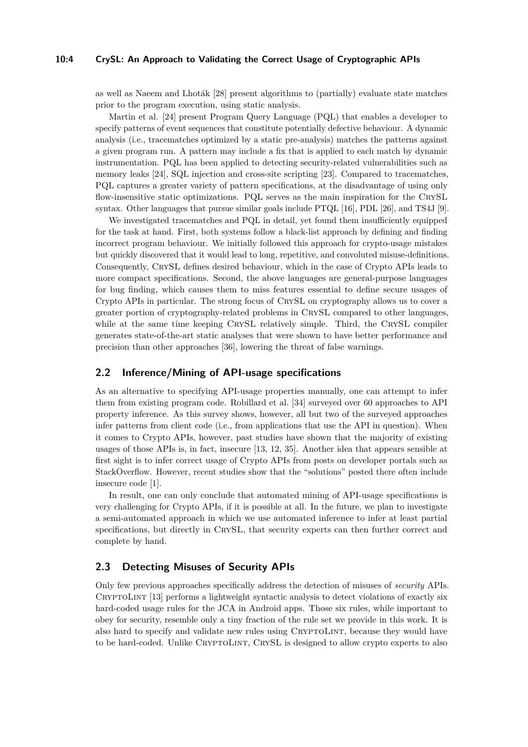# **10:4 CrySL: An Approach to Validating the Correct Usage of Cryptographic APIs**

as well as Naeem and Lhoták [\[28\]](#page-26-4) present algorithms to (partially) evaluate state matches prior to the program execution, using static analysis.

Martin et al. [\[24\]](#page-25-4) present Program Query Language (PQL) that enables a developer to specify patterns of event sequences that constitute potentially defective behaviour. A dynamic analysis (i.e., tracematches optimized by a static pre-analysis) matches the patterns against a given program run. A pattern may include a fix that is applied to each match by dynamic instrumentation. PQL has been applied to detecting security-related vulnerabilities such as memory leaks [\[24\]](#page-25-4), SQL injection and cross-site scripting [\[23\]](#page-25-5). Compared to tracematches, PQL captures a greater variety of pattern specifications, at the disadvantage of using only flow-insensitive static optimizations. PQL serves as the main inspiration for the CrySL syntax. Other languages that pursue similar goals include PTQL [\[16\]](#page-25-6), PDL [\[26\]](#page-25-7), and TS4J [\[9\]](#page-24-7).

We investigated tracematches and PQL in detail, yet found them insufficiently equipped for the task at hand. First, both systems follow a black-list approach by defining and finding incorrect program behaviour. We initially followed this approach for crypto-usage mistakes but quickly discovered that it would lead to long, repetitive, and convoluted misuse-definitions. Consequently, CrySL defines desired behaviour, which in the case of Crypto APIs leads to more compact specifications. Second, the above languages are general-purpose languages for bug finding, which causes them to miss features essential to define secure usages of Crypto APIs in particular. The strong focus of CrySL on cryptography allows us to cover a greater portion of cryptography-related problems in CrySL compared to other languages, while at the same time keeping CRYSL relatively simple. Third, the CRYSL compiler generates state-of-the-art static analyses that were shown to have better performance and precision than other approaches [\[36\]](#page-26-5), lowering the threat of false warnings.

# <span id="page-3-1"></span>**2.2 Inference/Mining of API-usage specifications**

As an alternative to specifying API-usage properties manually, one can attempt to infer them from existing program code. Robillard et al. [\[34\]](#page-26-6) surveyed over 60 approaches to API property inference. As this survey shows, however, all but two of the surveyed approaches infer patterns from client code (i.e., from applications that use the API in question). When it comes to Crypto APIs, however, past studies have shown that the majority of existing usages of those APIs is, in fact, insecure [\[13,](#page-25-1) [12,](#page-25-2) [35\]](#page-26-7). Another idea that appears sensible at first sight is to infer correct usage of Crypto APIs from posts on developer portals such as StackOverflow. However, recent studies show that the "solutions" posted there often include insecure code [\[1\]](#page-24-8).

In result, one can only conclude that automated mining of API-usage specifications is very challenging for Crypto APIs, if it is possible at all. In the future, we plan to investigate a semi-automated approach in which we use automated inference to infer at least partial specifications, but directly in CrySL, that security experts can then further correct and complete by hand.

# <span id="page-3-0"></span>**2.3 Detecting Misuses of Security APIs**

Only few previous approaches specifically address the detection of misuses of *security* APIs. CRYPTOLINT [\[13\]](#page-25-1) performs a lightweight syntactic analysis to detect violations of exactly six hard-coded usage rules for the JCA in Android apps. Those six rules, while important to obey for security, resemble only a tiny fraction of the rule set we provide in this work. It is also hard to specify and validate new rules using CRYPTOLINT, because they would have to be hard-coded. Unlike CRYPTOLINT, CRYSL is designed to allow crypto experts to also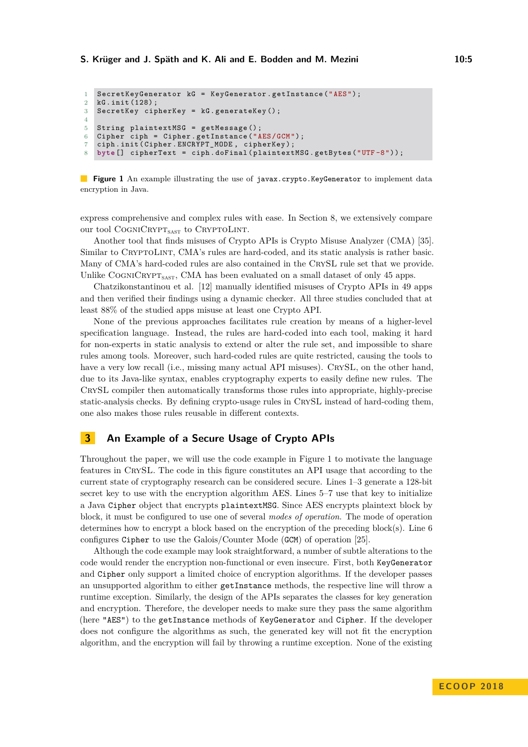```
1 SecretKeyGenerator kG = KeyGenerator.getInstance("AES");<br>2 kG.init(128):
   kG. init (128) ;
3 SecretKey cipherKey = kG . generateKey () ;
4
5 String plaintextMSG = getMessage () ;
6 Cipher ciph = Cipher . getInstance ("AES /GCM ") ;
7 ciph . init ( Cipher . ENCRYPT_MODE , cipherKey ) ;
8 byte [] cipherText = ciph . doFinal ( plaintextMSG . getBytes ("UTF -8") ) ;
```
<span id="page-4-4"></span>**Figure 1** An example illustrating the use of javax.crypto.KeyGenerator to implement data encryption in Java.

express comprehensive and complex rules with ease. In Section [8,](#page-18-0) we extensively compare our tool COGNICRYPT<sub>SAST</sub> to CRYPTOLINT.

Another tool that finds misuses of Crypto APIs is Crypto Misuse Analyzer (CMA) [\[35\]](#page-26-7). Similar to CRYPTOLINT, CMA's rules are hard-coded, and its static analysis is rather basic. Many of CMA's hard-coded rules are also contained in the CrySL rule set that we provide. Unlike COGNICRYPT<sub>SAST</sub>, CMA has been evaluated on a small dataset of only 45 apps.

Chatzikonstantinou et al. [\[12\]](#page-25-2) manually identified misuses of Crypto APIs in 49 apps and then verified their findings using a dynamic checker. All three studies concluded that at least 88% of the studied apps misuse at least one Crypto API.

None of the previous approaches facilitates rule creation by means of a higher-level specification language. Instead, the rules are hard-coded into each tool, making it hard for non-experts in static analysis to extend or alter the rule set, and impossible to share rules among tools. Moreover, such hard-coded rules are quite restricted, causing the tools to have a very low recall (i.e., missing many actual API misuses). CRYSL, on the other hand, due to its Java-like syntax, enables cryptography experts to easily define new rules. The CrySL compiler then automatically transforms those rules into appropriate, highly-precise static-analysis checks. By defining crypto-usage rules in CrySL instead of hard-coding them, one also makes those rules reusable in different contexts.

### **3 An Example of a Secure Usage of Crypto APIs**

Throughout the paper, we will use the code example in Figure [1](#page-4-0) to motivate the language features in CrySL. The code in this figure constitutes an API usage that according to the current state of cryptography research can be considered secure. Lines [1](#page-4-1)[–3](#page-4-2) generate a 128-bit secret key to use with the encryption algorithm AES. Lines [5–](#page-4-3)[7](#page-4-4) use that key to initialize a Java Cipher object that encrypts plaintextMSG. Since AES encrypts plaintext block by block, it must be configured to use one of several *modes of operation*. The mode of operation determines how to encrypt a block based on the encryption of the preceding block(s). Line [6](#page-4-5) configures Cipher to use the Galois/Counter Mode (GCM) of operation [\[25\]](#page-25-8).

Although the code example may look straightforward, a number of subtle alterations to the code would render the encryption non-functional or even insecure. First, both KeyGenerator and Cipher only support a limited choice of encryption algorithms. If the developer passes an unsupported algorithm to either getInstance methods, the respective line will throw a runtime exception. Similarly, the design of the APIs separates the classes for key generation and encryption. Therefore, the developer needs to make sure they pass the same algorithm (here "AES") to the getInstance methods of KeyGenerator and Cipher. If the developer does not configure the algorithms as such, the generated key will not fit the encryption algorithm, and the encryption will fail by throwing a runtime exception. None of the existing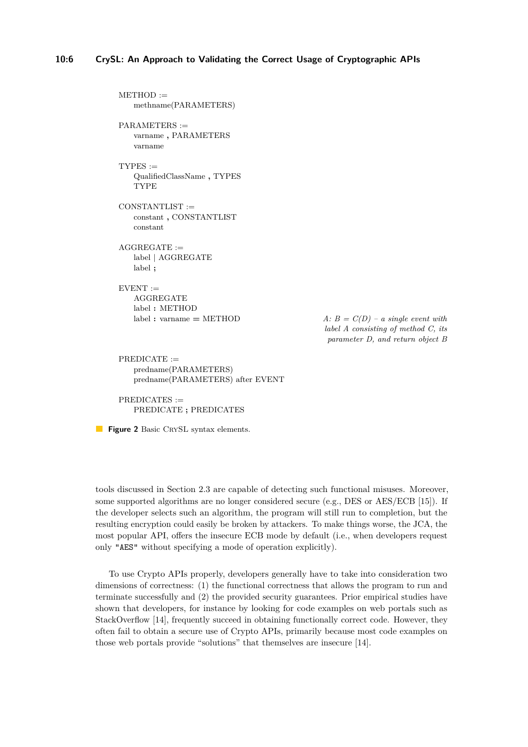<span id="page-5-0"></span> $METHOD :=$ methname(PARAMETERS)  $PARAMETERS :=$ varname **,** PARAMETERS varname  $TYPES :=$ QualifiedClassName **,** TYPES TYPE CONSTANTLIST := constant **,** CONSTANTLIST constant  $AGGREGATE :=$ label | AGGREGATE label **;**  $EVENT :=$ AGGREGATE label **:** METHOD  $label:1} A: B = C(D) - a single event with$ *label A consisting of method C, its parameter D, and return object B*  $PREDICATE :=$ predname(PARAMETERS) predname(PARAMETERS) after EVENT

PREDICATES := PREDICATE **;** PREDICATES

**Figure 2** Basic CRYSL syntax elements.

tools discussed in Section [2.3](#page-3-0) are capable of detecting such functional misuses. Moreover, some supported algorithms are no longer considered secure (e.g., DES or AES/ECB [\[15\]](#page-25-9)). If the developer selects such an algorithm, the program will still run to completion, but the resulting encryption could easily be broken by attackers. To make things worse, the JCA, the most popular API, offers the insecure ECB mode by default (i.e., when developers request only "AES" without specifying a mode of operation explicitly).

To use Crypto APIs properly, developers generally have to take into consideration two dimensions of correctness: (1) the functional correctness that allows the program to run and terminate successfully and (2) the provided security guarantees. Prior empirical studies have shown that developers, for instance by looking for code examples on web portals such as StackOverflow [\[14\]](#page-25-10), frequently succeed in obtaining functionally correct code. However, they often fail to obtain a secure use of Crypto APIs, primarily because most code examples on those web portals provide "solutions" that themselves are insecure [\[14\]](#page-25-10).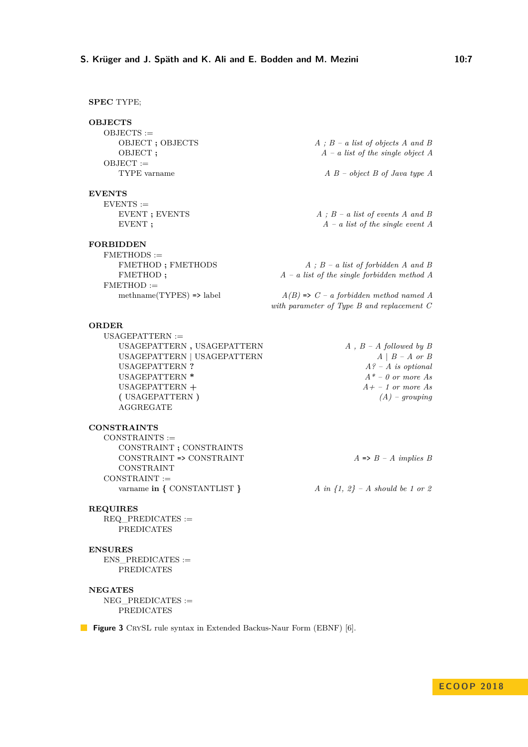### <span id="page-6-0"></span>**SPEC** TYPE;

 $OBJECTS :=$  $OBJECT :=$ 

#### **EVENTS**

 $EVENTS :=$ 

### **FORBIDDEN**

 $FMETHODS :=$  $FMETHOD :=$ 

#### **ORDER**

 $USAGEPATHERN :=$ USAGEPATTERN **,** USAGEPATTERN *A , B – A followed by B* USAGEPATTERN | USAGEPATTERN *A* | *B – A or B* USAGEPATTERN **?** *A? – A is optional* USAGEPATTERN **\*** *A\* – 0 or more As* USAGEPATTERN **+** *A+ – 1 or more As* **(** USAGEPATTERN **)** *(A) – grouping* AGGREGATE

#### **CONSTRAINTS**

 $CONSTRAINTS :=$ CONSTRAINT **;** CONSTRAINTS CONSTRAINT => CONSTRAINT *A* => *B – A implies B* CONSTRAINT  $CONSTRAINT :=$ varname **in {** CONSTANTLIST **}** *A in {1, 2} – A should be 1 or 2*

#### **REQUIRES**

 $REQ$  PREDICATES  $:=$ PREDICATES

### **ENSURES**

ENS\_PREDICATES := PREDICATES

### **NEGATES**

 $NEG$  PREDICATES  $:=$ PREDICATES

OBJECT **;** OBJECTS *A ; B – a list of objects A and B* OBJECT **;** *A – a list of the single object A*

TYPE varname *A B – object B of Java type A*

EVENT **;** EVENTS *A ; B – a list of events A and B* EVENT **;**  $A - a$  list of the single event A

FMETHOD **;** FMETHODS *A ; B – a list of forbidden A and B* FMETHOD **;**  $A - a$  list of the single forbidden method A

methname(TYPES) => label *A(B)* => *C – a forbidden method named A with parameter of Type B and replacement C*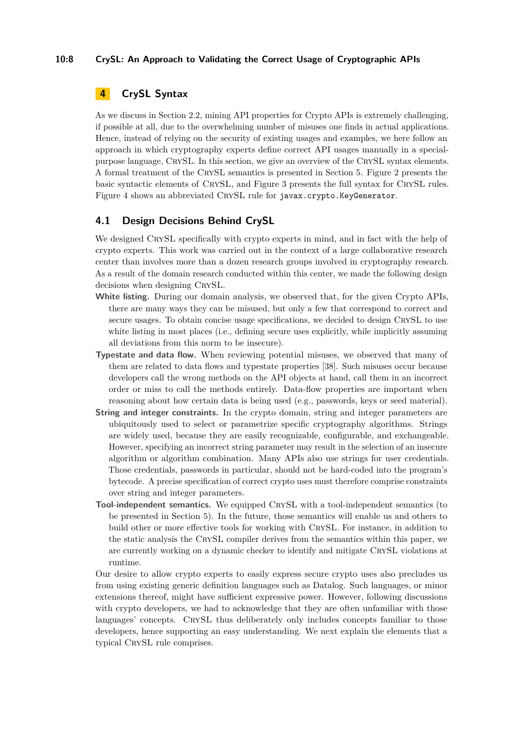# **10:8 CrySL: An Approach to Validating the Correct Usage of Cryptographic APIs**

# <span id="page-7-0"></span>**4 CrySL Syntax**

As we discuss in Section [2.2,](#page-3-1) mining API properties for Crypto APIs is extremely challenging, if possible at all, due to the overwhelming number of misuses one finds in actual applications. Hence, instead of relying on the security of existing usages and examples, we here follow an approach in which cryptography experts define correct API usages manually in a specialpurpose language, CrySL. In this section, we give an overview of the CrySL syntax elements. A formal treatment of the CrySL semantics is presented in Section [5.](#page-11-0) Figure [2](#page-5-0) presents the basic syntactic elements of CrySL, and Figure [3](#page-6-0) presents the full syntax for CrySL rules. Figure [4](#page-9-0) shows an abbreviated CRYSL rule for javax.crypto.KeyGenerator.

### **4.1 Design Decisions Behind CrySL**

We designed CRYSL specifically with crypto experts in mind, and in fact with the help of crypto experts. This work was carried out in the context of a large collaborative research center than involves more than a dozen research groups involved in cryptography research. As a result of the domain research conducted within this center, we made the following design decisions when designing CRYSL.

- **White listing.** During our domain analysis, we observed that, for the given Crypto APIs, there are many ways they can be misused, but only a few that correspond to correct and secure usages. To obtain concise usage specifications, we decided to design CrySL to use white listing in most places (i.e., defining secure uses explicitly, while implicitly assuming all deviations from this norm to be insecure).
- **Typestate and data flow.** When reviewing potential misuses, we observed that many of them are related to data flows and typestate properties [\[38\]](#page-26-8). Such misuses occur because developers call the wrong methods on the API objects at hand, call them in an incorrect order or miss to call the methods entirely. Data-flow properties are important when reasoning about how certain data is being used (e.g., passwords, keys or seed material).
- **String and integer constraints.** In the crypto domain, string and integer parameters are ubiquitously used to select or parametrize specific cryptography algorithms. Strings are widely used, because they are easily recognizable, configurable, and exchangeable. However, specifying an incorrect string parameter may result in the selection of an insecure algorithm or algorithm combination. Many APIs also use strings for user credentials. Those credentials, passwords in particular, should not be hard-coded into the program's bytecode. A precise specification of correct crypto uses must therefore comprise constraints over string and integer parameters.
- **Tool-independent semantics.** We equipped CRYSL with a tool-independent semantics (to be presented in Section [5\)](#page-11-0). In the future, those semantics will enable us and others to build other or more effective tools for working with CrySL. For instance, in addition to the static analysis the CrySL compiler derives from the semantics within this paper, we are currently working on a dynamic checker to identify and mitigate CrySL violations at runtime.

Our desire to allow crypto experts to easily express secure crypto uses also precludes us from using existing generic definition languages such as Datalog. Such languages, or minor extensions thereof, might have sufficient expressive power. However, following discussions with crypto developers, we had to acknowledge that they are often unfamiliar with those languages' concepts. CRYSL thus deliberately only includes concepts familiar to those developers, hence supporting an easy understanding. We next explain the elements that a typical CRYSL rule comprises.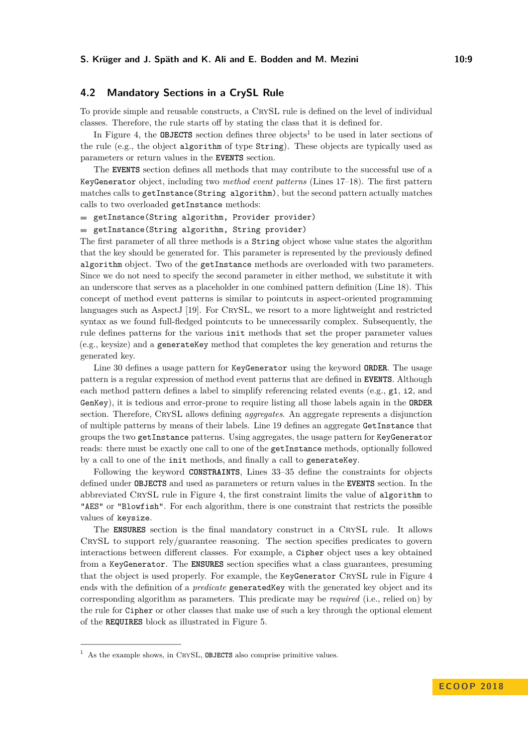# **4.2 Mandatory Sections in a CrySL Rule**

To provide simple and reusable constructs, a CrySL rule is defined on the level of individual classes. Therefore, the rule starts off by stating the class that it is defined for.

In Figure [4,](#page-9-0) the **OBJECTS** section defines three objects<sup>[1](#page-8-0)</sup> to be used in later sections of the rule (e.g., the object algorithm of type String). These objects are typically used as parameters or return values in the **EVENTS** section.

The **EVENTS** section defines all methods that may contribute to the successful use of a KeyGenerator object, including two *method event patterns* (Lines [17–](#page-9-1)[18\)](#page-9-2). The first pattern matches calls to getInstance(String algorithm), but the second pattern actually matches calls to two overloaded getInstance methods:

getInstance(String algorithm, Provider provider)

getInstance(String algorithm, String provider)

The first parameter of all three methods is a String object whose value states the algorithm that the key should be generated for. This parameter is represented by the previously defined algorithm object. Two of the getInstance methods are overloaded with two parameters. Since we do not need to specify the second parameter in either method, we substitute it with an underscore that serves as a placeholder in one combined pattern definition (Line [18\)](#page-9-2). This concept of method event patterns is similar to pointcuts in aspect-oriented programming languages such as AspectJ [\[19\]](#page-25-11). For CrySL, we resort to a more lightweight and restricted syntax as we found full-fledged pointcuts to be unnecessarily complex. Subsequently, the rule defines patterns for the various init methods that set the proper parameter values (e.g., keysize) and a generateKey method that completes the key generation and returns the generated key.

Line [30](#page-9-3) defines a usage pattern for KeyGenerator using the keyword **ORDER**. The usage pattern is a regular expression of method event patterns that are defined in **EVENTS**. Although each method pattern defines a label to simplify referencing related events (e.g., g1, i2, and GenKey), it is tedious and error-prone to require listing all those labels again in the **ORDER** section. Therefore, CrySL allows defining *aggregates*. An aggregate represents a disjunction of multiple patterns by means of their labels. Line [19](#page-9-4) defines an aggregate GetInstance that groups the two getInstance patterns. Using aggregates, the usage pattern for KeyGenerator reads: there must be exactly one call to one of the getInstance methods, optionally followed by a call to one of the init methods, and finally a call to generateKey.

Following the keyword **CONSTRAINTS**, Lines [33–](#page-9-5)[35](#page-9-6) define the constraints for objects defined under **OBJECTS** and used as parameters or return values in the **EVENTS** section. In the abbreviated CrySL rule in Figure [4,](#page-9-0) the first constraint limits the value of algorithm to "AES" or "Blowfish". For each algorithm, there is one constraint that restricts the possible values of keysize.

The **ENSURES** section is the final mandatory construct in a CrySL rule. It allows CrySL to support rely/guarantee reasoning. The section specifies predicates to govern interactions between different classes. For example, a Cipher object uses a key obtained from a KeyGenerator. The **ENSURES** section specifies what a class guarantees, presuming that the object is used properly. For example, the KeyGenerator CRYSL rule in Figure [4](#page-9-0) ends with the definition of a *predicate* generated Key with the generated key object and its corresponding algorithm as parameters. This predicate may be *required* (i.e., relied on) by the rule for Cipher or other classes that make use of such a key through the optional element of the **REQUIRES** block as illustrated in Figure [5.](#page-10-0)

<span id="page-8-0"></span><sup>&</sup>lt;sup>1</sup> As the example shows, in CRYSL, **OBJECTS** also comprise primitive values.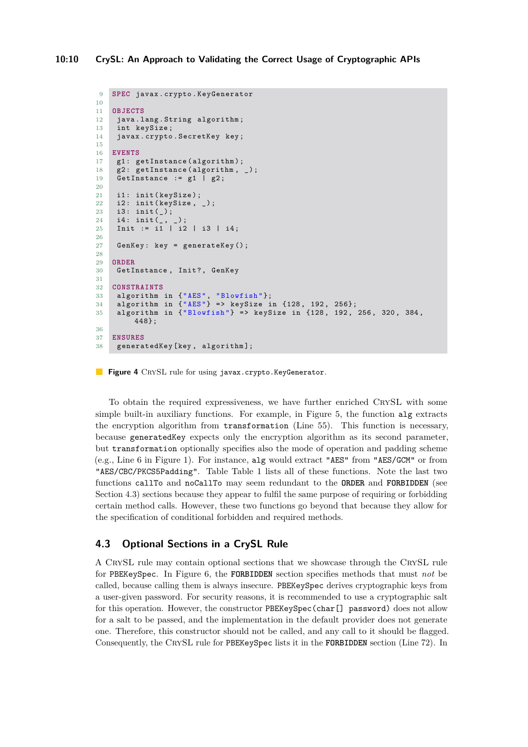```
9 SPEC javax . crypto . KeyGenerator
10
11 OBJECTS
12 java.lang. String algorithm;
13 int keySize ;
14 javax . crypto . SecretKey key ;
15
16 EVENTS
17 g1: getInstance (algorithm);
18 g2: getInstance(algorithm, _);
19 GetInstance := g1 | g2;
20
21 i1: init (keySize);
22 i2: init (\text{keySize}, _);<br>
23 i3: init ():
     i3: \text{init}(\_);<br>i4: \text{init}(\_);24 i4: init(_{-}, _{-});
25 Init := i1 | i2 | i3 | i4 ;
26
27 GenKey: key = generateKey();
28
29 ORDER
30 GetInstance, Init?, GenKey
31
32 CONSTRAINTS
33 algorithm in {"AES", " Blowfish "};
34 algorithm in {"AES"} = > keySize in {128 , 192 , 256};
35 algorithm in {\texttt{'}} Blowfish"} => keySize in \{128, 192, 256, 320, 384,448};
36
37 ENSURES
38 generatedKey [ key , algorithm ];
```
<span id="page-9-6"></span><span id="page-9-5"></span><span id="page-9-3"></span>**Figure 4** CRYSL rule for using javax.crypto.KeyGenerator.

To obtain the required expressiveness, we have further enriched CrySL with some simple built-in auxiliary functions. For example, in Figure [5,](#page-10-0) the function alg extracts the encryption algorithm from transformation (Line [55\)](#page-10-1). This function is necessary, because generatedKey expects only the encryption algorithm as its second parameter, but transformation optionally specifies also the mode of operation and padding scheme (e.g., Line [6](#page-4-5) in Figure [1\)](#page-4-0). For instance, alg would extract "AES" from "AES/GCM" or from "AES/CBC/PKCS5Padding". Table Table [1](#page-10-2) lists all of these functions. Note the last two functions callTo and noCallTo may seem redundant to the **ORDER** and **FORBIDDEN** (see Section [4.3\)](#page-9-7) sections because they appear to fulfil the same purpose of requiring or forbidding certain method calls. However, these two functions go beyond that because they allow for the specification of conditional forbidden and required methods.

# <span id="page-9-7"></span>**4.3 Optional Sections in a CrySL Rule**

A CrySL rule may contain optional sections that we showcase through the CrySL rule for PBEKeySpec. In Figure [6,](#page-11-1) the **FORBIDDEN** section specifies methods that must *not* be called, because calling them is always insecure. PBEKeySpec derives cryptographic keys from a user-given password. For security reasons, it is recommended to use a cryptographic salt for this operation. However, the constructor PBEKeySpec(char[] password) does not allow for a salt to be passed, and the implementation in the default provider does not generate one. Therefore, this constructor should not be called, and any call to it should be flagged. Consequently, the CrySL rule for PBEKeySpec lists it in the **FORBIDDEN** section (Line [72\)](#page-11-2). In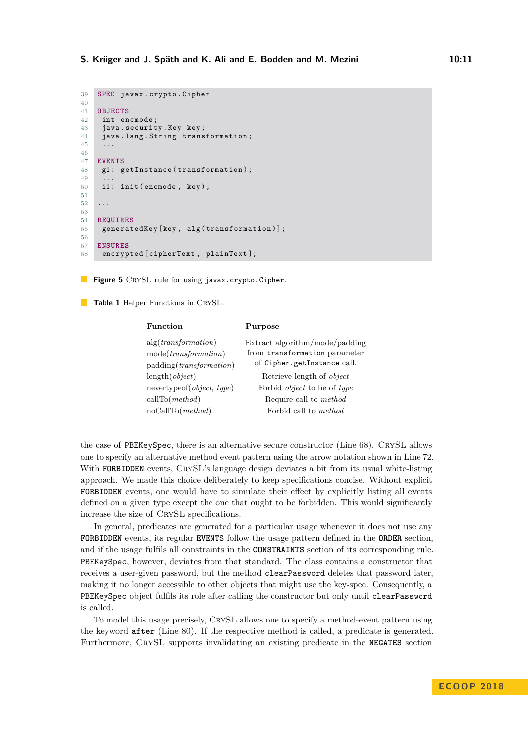```
39 SPEC javax . crypto . Cipher
40
41 OBJECTS
42 int encmode ;
43 java . security . Key key ;
44 java. lang. String transformation;<br>4545 ...
46
47 EVENTS
48 g1: getInstance (transformation);
4950 i1: init (encmode, key);
51
52 ...
53
54 REQUIRES
    generatedKey [key, alg (transformation)];
56
57 ENSURES
58 encrypted [ cipherText , plainText ];
```
<span id="page-10-1"></span>**Figure 5** CRYSL rule for using javax.crypto.Cipher.

<span id="page-10-2"></span>**Table 1** Helper Functions in CRYSL.

| Function                                   | Purpose                            |  |
|--------------------------------------------|------------------------------------|--|
| alg(transformation)                        | Extract algorithm/mode/padding     |  |
| mode(transformation)                       | from transformation parameter      |  |
| padding( <i>transformation</i> )           | of Cipher.getInstance call.        |  |
| length(object)                             | Retrieve length of <i>object</i>   |  |
| nevertypeof( <i>object</i> , <i>type</i> ) | Forbid <i>object</i> to be of type |  |
| callTo(method)                             | Require call to <i>method</i>      |  |
| noCallTo(method)                           | Forbid call to <i>method</i>       |  |

the case of PBEKeySpec, there is an alternative secure constructor (Line [68\)](#page-11-3). CrySL allows one to specify an alternative method event pattern using the arrow notation shown in Line [72.](#page-11-2) With **FORBIDDEN** events, CRYSL's language design deviates a bit from its usual white-listing approach. We made this choice deliberately to keep specifications concise. Without explicit **FORBIDDEN** events, one would have to simulate their effect by explicitly listing all events defined on a given type except the one that ought to be forbidden. This would significantly increase the size of CrySL specifications.

In general, predicates are generated for a particular usage whenever it does not use any **FORBIDDEN** events, its regular **EVENTS** follow the usage pattern defined in the **ORDER** section, and if the usage fulfils all constraints in the **CONSTRAINTS** section of its corresponding rule. PBEKeySpec, however, deviates from that standard. The class contains a constructor that receives a user-given password, but the method clearPassword deletes that password later, making it no longer accessible to other objects that might use the key-spec. Consequently, a PBEKeySpec object fulfils its role after calling the constructor but only until clearPassword is called.

To model this usage precisely, CrySL allows one to specify a method-event pattern using the keyword **after** (Line [80\)](#page-11-4). If the respective method is called, a predicate is generated. Furthermore, CrySL supports invalidating an existing predicate in the **NEGATES** section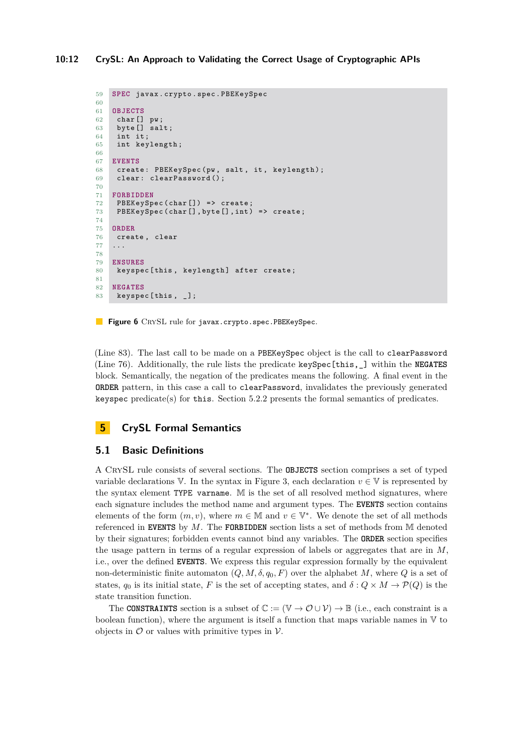```
59 SPEC javax . crypto . spec . PBEKeySpec
60
61 OBJECTS
62 char [] pw ;
63 byte [] salt;
64 int it ;
65 int keylength ;
66
67 EVENTS
68 create: PBEKeySpec (pw, salt, it, keylength);
69 clear: clearPassword();
70
71 FORBIDDEN
72 PBEKeySpec (char []) => create;<br>73 PBEKeySpec (char [], byte [], int)
     PBEKeySpec (char [], byte [], int) => create;
74
75 ORDER
76 create , clear
77
78
79 ENSURES
80 keyspec [this, keylength] after create;
81
82 NEGATES
83 keyspec [this, _];
```
<span id="page-11-6"></span><span id="page-11-5"></span><span id="page-11-4"></span>**Figure 6** CRYSL rule for javax.crypto.spec.PBEKeySpec.

(Line [83\)](#page-11-5). The last call to be made on a PBEKeySpec object is the call to clearPassword (Line [76\)](#page-11-6). Additionally, the rule lists the predicate keySpec[this,\_] within the **NEGATES** block. Semantically, the negation of the predicates means the following. A final event in the **ORDER** pattern, in this case a call to clearPassword, invalidates the previously generated keyspec predicate(s) for this. Section [5.2.2](#page-14-0) presents the formal semantics of predicates.

# <span id="page-11-0"></span>**5 CrySL Formal Semantics**

# **5.1 Basic Definitions**

A CrySL rule consists of several sections. The **OBJECTS** section comprises a set of typed variable declarations  $\nabla$ . In the syntax in Figure [3,](#page-6-0) each declaration  $v \in \nabla$  is represented by the syntax element TYPE varname. M is the set of all resolved method signatures, where each signature includes the method name and argument types. The **EVENTS** section contains elements of the form  $(m, v)$ , where  $m \in \mathbb{M}$  and  $v \in \mathbb{V}^*$ . We denote the set of all methods referenced in **EVENTS** by *M*. The **FORBIDDEN** section lists a set of methods from M denoted by their signatures; forbidden events cannot bind any variables. The **ORDER** section specifies the usage pattern in terms of a regular expression of labels or aggregates that are in *M*, i.e., over the defined **EVENTS**. We express this regular expression formally by the equivalent non-deterministic finite automaton  $(Q, M, \delta, q_0, F)$  over the alphabet *M*, where *Q* is a set of states,  $q_0$  is its initial state, *F* is the set of accepting states, and  $\delta: Q \times M \to \mathcal{P}(Q)$  is the state transition function.

The **CONSTRAINTS** section is a subset of  $\mathbb{C} := (\mathbb{V} \to \mathcal{O} \cup \mathcal{V}) \to \mathbb{B}$  (i.e., each constraint is a boolean function), where the argument is itself a function that maps variable names in  $V$  to objects in  $\mathcal O$  or values with primitive types in  $\mathcal V$ .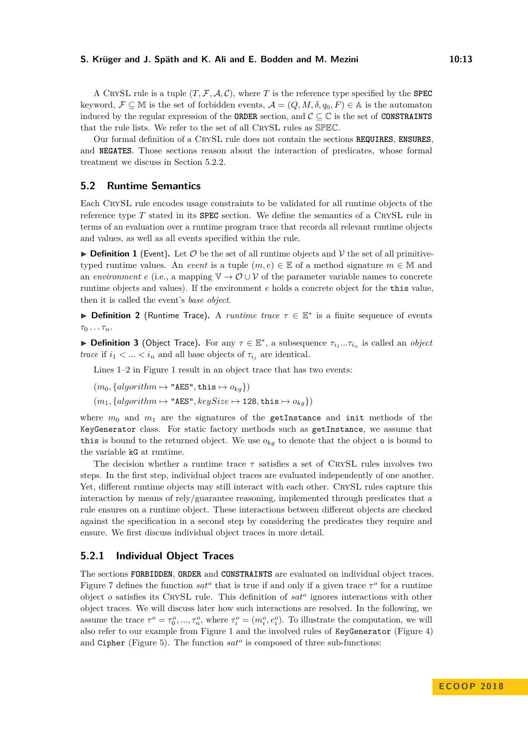A CRYSL rule is a tuple  $(T, \mathcal{F}, \mathcal{A}, \mathcal{C})$ , where *T* is the reference type specified by the **SPEC** keyword,  $\mathcal{F} \subseteq \mathbb{M}$  is the set of forbidden events,  $\mathcal{A} = (Q, M, \delta, q_0, F) \in \mathbb{A}$  is the automaton induced by the regular expression of the **ORDER** section, and  $C \subset \mathbb{C}$  is the set of **CONSTRAINTS** that the rule lists. We refer to the set of all CRYSL rules as SPEC.

Our formal definition of a CrySL rule does not contain the sections **REQUIRES**, **ENSURES**, and **NEGATES**. Those sections reason about the interaction of predicates, whose formal treatment we discuss in Section [5.2.2.](#page-14-0)

### **5.2 Runtime Semantics**

Each CrySL rule encodes usage constraints to be validated for all runtime objects of the reference type  $T$  stated in its **SPEC** section. We define the semantics of a CRYSL rule in terms of an evaluation over a runtime program trace that records all relevant runtime objects and values, as well as all events specified within the rule.

**Definition 1** (Event). Let  $\mathcal{O}$  be the set of all runtime objects and  $\mathcal{V}$  the set of all primitivetyped runtime values. An *event* is a tuple  $(m, e) \in \mathbb{E}$  of a method signature  $m \in \mathbb{M}$  and an *environment*  $e$  (i.e., a mapping  $\mathbb{V} \to \mathcal{O} \cup \mathcal{V}$  of the parameter variable names to concrete runtime objects and values). If the environment *e* holds a concrete object for the this value, then it is called the event's *base object*.

**Definition 2** (Runtime Trace). A *runtime trace*  $\tau \in \mathbb{E}^*$  is a finite sequence of events *τ*<sup>0</sup> *. . . τn*.

**► Definition 3** (Object Trace). For any  $\tau \in \mathbb{E}^*$ , a subsequence  $\tau_{i_1}...\tau_{i_n}$  is called an *object trace* if  $i_1 < \ldots < i_n$  and all base objects of  $\tau_{i_j}$  are identical.

Lines [1–](#page-4-1)[2](#page-4-6) in Figure [1](#page-4-0) result in an object trace that has two events:

$$
(m_0, \{algorithm \mapsto \texttt{"AES", this} \mapsto o_{kg}\})
$$

 $(m_1, \{algorithm \mapsto \texttt{"AES"}$ ,  $keySize \mapsto 128$ , this  $\mapsto o_{kq}\})$ 

where  $m_0$  and  $m_1$  are the signatures of the getInstance and init methods of the KeyGenerator class. For static factory methods such as getInstance, we assume that this is bound to the returned object. We use  $o_{kg}$  to denote that the object  $\circ$  is bound to the variable kG at runtime.

The decision whether a runtime trace  $\tau$  satisfies a set of CRYSL rules involves two steps. In the first step, individual object traces are evaluated independently of one another. Yet, different runtime objects may still interact with each other. CRYSL rules capture this interaction by means of rely/guarantee reasoning, implemented through predicates that a rule ensures on a runtime object. These interactions between different objects are checked against the specification in a second step by considering the predicates they require and ensure. We first discuss individual object traces in more detail.

### **5.2.1 Individual Object Traces**

The sections **FORBIDDEN**, **ORDER** and **CONSTRAINTS** are evaluated on individual object traces. Figure [7](#page-13-0) defines the function  $sat^o$  that is true if and only if a given trace  $\tau^o$  for a runtime object *o* satisfies its CrySL rule. This definition of *sat<sup>o</sup>* ignores interactions with other object traces. We will discuss later how such interactions are resolved. In the following, we assume the trace  $\tau^o = \tau_0^o, ..., \tau_n^o$ , where  $\tau_i^o = (m_i^o, e_i^o)$ . To illustrate the computation, we will also refer to our example from Figure [1](#page-4-0) and the involved rules of KeyGenerator (Figure [4\)](#page-9-0) and Cipher (Figure [5\)](#page-10-0). The function *sat<sup>o</sup>* is composed of three sub-functions: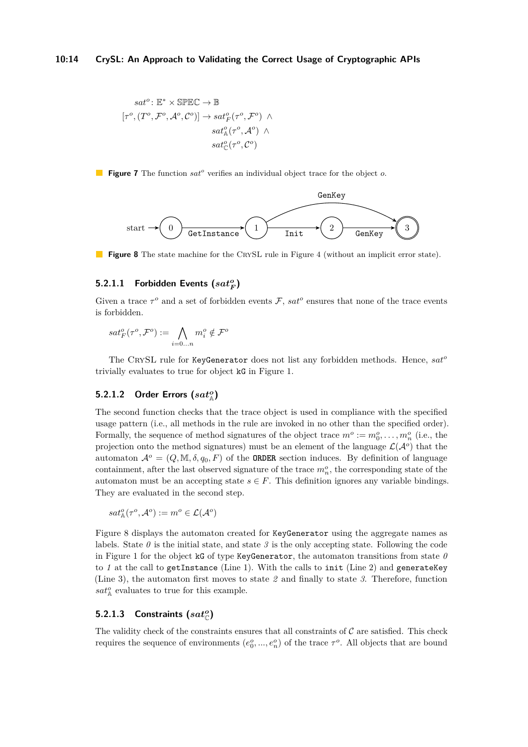<span id="page-13-0"></span>
$$
\begin{aligned} sat^o\colon\mathbb{E}^* \times \text{SPEC} &\rightarrow \mathbb{B} \\ \left[\tau^o,(T^o,\mathcal{F}^o,\mathcal{A}^o,\mathcal{C}^o)\right] &\rightarrow sat^o_F(\tau^o,\mathcal{F}^o) \;\wedge \\ sat^o_{\mathbb{A}}(\tau^o,\mathcal{A}^o) \;\wedge \\ sat^o_{\mathbb{C}}(\tau^o,\mathcal{C}^o) \end{aligned}
$$

<span id="page-13-1"></span>**Figure 7** The function *sat<sup>o</sup>* verifies an individual object trace for the object *o*.



**Figure 8** The state machine for the CRYSL rule in Figure [4](#page-9-0) (without an implicit error state).

# $5.2.1.1$  Forbidden Events  $(sat_F^o)$

Given a trace  $\tau^o$  and a set of forbidden events  $\mathcal{F}$ ,  $sat^o$  ensures that none of the trace events is forbidden.

$$
sat_F^o(\tau^o,\mathcal{F}^o):=\bigwedge_{i=0...n}m_i^o\notin\mathcal{F}^o
$$

The CrySL rule for KeyGenerator does not list any forbidden methods. Hence, *sat<sup>o</sup>* trivially evaluates to true for object kG in Figure [1.](#page-4-0)

# $5.2.1.2$  Order Errors  $(sat_{\mathbb{A}}^o)$

The second function checks that the trace object is used in compliance with the specified usage pattern (i.e., all methods in the rule are invoked in no other than the specified order). Formally, the sequence of method signatures of the object trace  $m^o := m_0^o, \ldots, m_n^o$  (i.e., the projection onto the method signatures) must be an element of the language  $\mathcal{L}(\mathcal{A}^o)$  that the automaton  $\mathcal{A}^o = (Q, M, \delta, q_0, F)$  of the **ORDER** section induces. By definition of language containment, after the last observed signature of the trace  $m_n^o$ , the corresponding state of the automaton must be an accepting state  $s \in F$ . This definition ignores any variable bindings. They are evaluated in the second step.

$$
sat^o_{\mathbb{A}}(\tau^o,\mathcal{A}^o):=m^o\in\mathcal{L}(\mathcal{A}^o)
$$

Figure [8](#page-13-1) displays the automaton created for KeyGenerator using the aggregate names as labels. State  $\theta$  is the initial state, and state  $\theta$  is the only accepting state. Following the code in Figure [1](#page-4-0) for the object  $kG$  of type KeyGenerator, the automaton transitions from state  $\theta$ to *1* at the call to getInstance (Line [1\)](#page-4-1). With the calls to init (Line [2\)](#page-4-6) and generateKey (Line [3\)](#page-4-2), the automaton first moves to state *2* and finally to state *3*. Therefore, function  $sat^o_{\mathbb{A}}$  evaluates to true for this example.

# **5.2.1.3** Constraints  $(sat^o_{\mathbb{C}})$

The validity check of the constraints ensures that all constraints of  $\mathcal C$  are satisfied. This check requires the sequence of environments  $(e_0^o, ..., e_n^o)$  of the trace  $\tau^o$ . All objects that are bound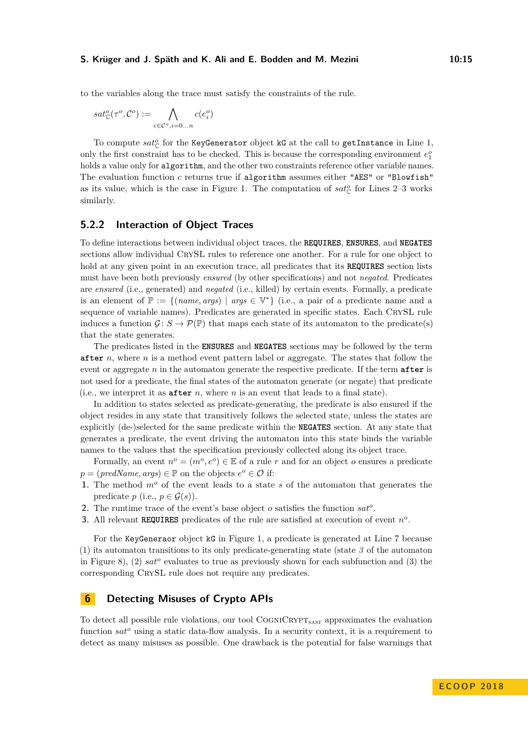to the variables along the trace must satisfy the constraints of the rule.

$$
sat^o_{\mathbb{C}}(\tau^o,\mathcal{C}^o):=\bigwedge_{c\in\mathcal{C}^o,i=0...n}c(e^o_i)
$$

To compute  $sat^o_{\mathbb{C}}$  for the KeyGenerator object kG at the call to getInstance in Line [1,](#page-4-1) only the first constraint has to be checked. This is because the corresponding environment  $e_1^o$  $e_1^o$  $e_1^o$ holds a value only for **algorithm**, and the other two constraints reference other variable names. The evaluation function *c* returns true if algorithm assumes either "AES" or "Blowfish" as its value, which is the case in Figure [1.](#page-4-0) The computation of  $sat_{\mathbb{C}}^{o}$  for Lines [2](#page-4-6)[–3](#page-4-2) works similarly.

### <span id="page-14-0"></span>**5.2.2 Interaction of Object Traces**

To define interactions between individual object traces, the **REQUIRES**, **ENSURES**, and **NEGATES** sections allow individual CRYSL rules to reference one another. For a rule for one object to hold at any given point in an execution trace, all predicates that its **REQUIRES** section lists must have been both previously *ensured* (by other specifications) and not *negated*. Predicates are *ensured* (i.e., generated) and *negated* (i.e., killed) by certain events. Formally, a predicate is an element of  $\mathbb{P} := \{(\text{name}, \text{args}) \mid \text{args} \in \mathbb{V}^*\}$  (i.e., a pair of a predicate name and a sequence of variable names). Predicates are generated in specific states. Each CrySL rule induces a function  $\mathcal{G}: S \to \mathcal{P}(\mathbb{P})$  that maps each state of its automaton to the predicate(s) that the state generates.

The predicates listed in the **ENSURES** and **NEGATES** sections may be followed by the term **after** *n*, where *n* is a method event pattern label or aggregate. The states that follow the event or aggregate *n* in the automaton generate the respective predicate. If the term **after** is not used for a predicate, the final states of the automaton generate (or negate) that predicate (i.e., we interpret it as **after** *n*, where *n* is an event that leads to a final state).

In addition to states selected as predicate-generating, the predicate is also ensured if the object resides in any state that transitively follows the selected state, unless the states are explicitly (de-)selected for the same predicate within the **NEGATES** section. At any state that generates a predicate, the event driving the automaton into this state binds the variable names to the values that the specification previously collected along its object trace.

Formally, an event  $n^o = (m^o, e^o) \in \mathbb{E}$  of a rule *r* and for an object *o* ensures a predicate  $p = (predName, args) \in \mathbb{P}$  on the objects  $e^o \in \mathcal{O}$  if:

- **1.** The method *m<sup>o</sup>* of the event leads to a state *s* of the automaton that generates the predicate  $p$  (i.e.,  $p \in \mathcal{G}(s)$ ).
- **2.** The runtime trace of the event's base object *o* satisfies the function *sat<sup>o</sup>* .
- **3.** All relevant **REQUIRES** predicates of the rule are satisfied at execution of event  $n^o$ .

For the KeyGeneraor object kG in Figure [1,](#page-4-0) a predicate is generated at Line [7](#page-4-4) because (1) its automaton transitions to its only predicate-generating state (state *3* of the automaton in Figure [8\)](#page-13-1), (2) *sat<sup>o</sup>* evaluates to true as previously shown for each subfunction and (3) the corresponding CRYSL rule does not require any predicates.

# <span id="page-14-1"></span>**6 Detecting Misuses of Crypto APIs**

To detect all possible rule violations, our tool  $\text{CoGN/C}\text{RYPT}_{\text{sAST}}$  approximates the evaluation function *sat<sup>o</sup>* using a static data-flow analysis. In a security context, it is a requirement to detect as many misuses as possible. One drawback is the potential for false warnings that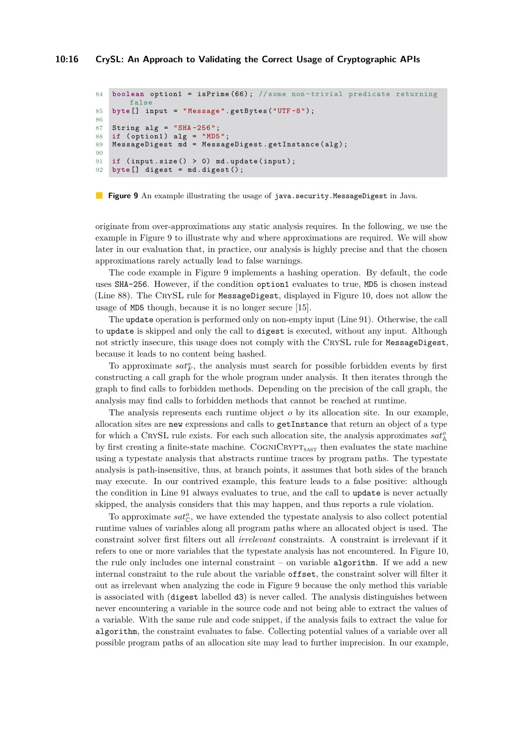```
84 boolean option1 = isPrime (66); //some non-trivial predicate returning
       false
85 byte [] input = "Message".getBytes ("UTF-8");
86
87 String alg = "SHA - 256"88 if ( option1) alg = "MD5";
89 MessageDigest md = MessageDigest.getInstance(alg);
90
91 if (input.size() > 0) md.update(input);
92 byte [] digest = md . digest () ;
```
<span id="page-15-2"></span>**Figure 9** An example illustrating the usage of java.security.MessageDigest in Java.

originate from over-approximations any static analysis requires. In the following, we use the example in Figure [9](#page-15-0) to illustrate why and where approximations are required. We will show later in our evaluation that, in practice, our analysis is highly precise and that the chosen approximations rarely actually lead to false warnings.

The code example in Figure [9](#page-15-0) implements a hashing operation. By default, the code uses SHA-256. However, if the condition option1 evaluates to true, MD5 is chosen instead (Line [88\)](#page-15-1). The CrySL rule for MessageDigest, displayed in Figure [10,](#page-16-0) does not allow the usage of MD5 though, because it is no longer secure [\[15\]](#page-25-9).

The update operation is performed only on non-empty input (Line [91\)](#page-15-2). Otherwise, the call to update is skipped and only the call to digest is executed, without any input. Although not strictly insecure, this usage does not comply with the CrySL rule for MessageDigest, because it leads to no content being hashed.

To approximate  $sat_F^o$ , the analysis must search for possible forbidden events by first constructing a call graph for the whole program under analysis. It then iterates through the graph to find calls to forbidden methods. Depending on the precision of the call graph, the analysis may find calls to forbidden methods that cannot be reached at runtime.

The analysis represents each runtime object *o* by its allocation site. In our example, allocation sites are new expressions and calls to getInstance that return an object of a type for which a CRYSL rule exists. For each such allocation site, the analysis approximates  $sat^o_\mathbb{A}$ by first creating a finite-state machine. COGNICRYPT<sub>SAST</sub> then evaluates the state machine using a typestate analysis that abstracts runtime traces by program paths. The typestate analysis is path-insensitive, thus, at branch points, it assumes that both sides of the branch may execute. In our contrived example, this feature leads to a false positive: although the condition in Line [91](#page-15-2) always evaluates to true, and the call to update is never actually skipped, the analysis considers that this may happen, and thus reports a rule violation.

To approximate  $sat_{\mathbb{C}}^{o}$ , we have extended the typestate analysis to also collect potential runtime values of variables along all program paths where an allocated object is used. The constraint solver first filters out all *irrelevant* constraints. A constraint is irrelevant if it refers to one or more variables that the typestate analysis has not encountered. In Figure [10,](#page-16-0) the rule only includes one internal constraint  $-$  on variable **algorithm**. If we add a new internal constraint to the rule about the variable offset, the constraint solver will filter it out as irrelevant when analyzing the code in Figure [9](#page-15-0) because the only method this variable is associated with (digest labelled d3) is never called. The analysis distinguishes between never encountering a variable in the source code and not being able to extract the values of a variable. With the same rule and code snippet, if the analysis fails to extract the value for algorithm, the constraint evaluates to false. Collecting potential values of a variable over all possible program paths of an allocation site may lead to further imprecision. In our example,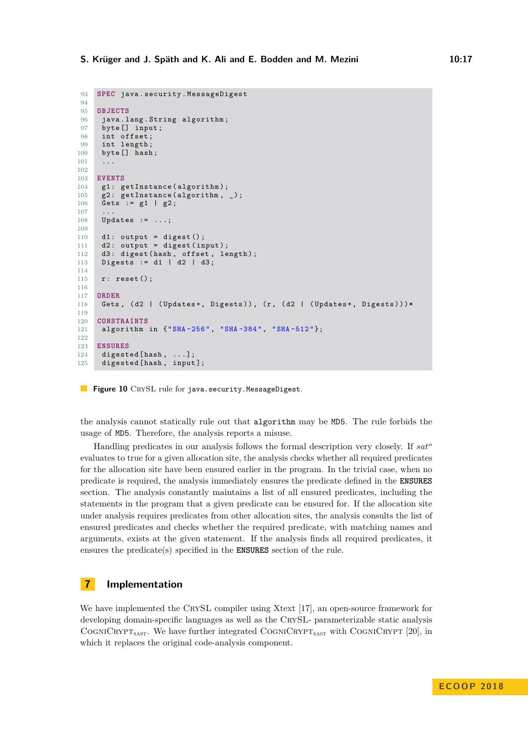```
93 SPEC java . security . MessageDigest
94
95 OBJECTS
96 java. lang. String algorithm;
97 byte [] input;
98 int offset;<br>99 int length;
     int length;
100 byte [] hash;
101 \qquad \ldots102
103 EVENTS
104 g1: getInstance (algorithm);
105 g2: getInstance (algorithm, _);
106 Gets := g1 | g2;
107
108 Updates := ...;
109
110 d1: output = digest();
111 d2: output = digest (input);
112 d3: digest (hash, offset, length);
113 Digests := d1 | d2 | d3 ;
114
115 r: reset ();
116
117 ORDER
118 Gets, (d2 | (Updates+, Digests)), (r, (d2 | (Updates+, Digests)))*
119
120 CONSTRAINTS
121 algorithm in {"SHA-256", "SHA-384", "SHA-512"};
122
123 ENSURES
124 digested [hash, ...];<br>125 digested [hash, input
     digested [hash, input];
```
**Figure 10** CRYSL rule for java.security.MessageDigest.

the analysis cannot statically rule out that algorithm may be MD5. The rule forbids the usage of MD5. Therefore, the analysis reports a misuse.

Handling predicates in our analysis follows the formal description very closely. If *sat<sup>o</sup>* evaluates to true for a given allocation site, the analysis checks whether all required predicates for the allocation site have been ensured earlier in the program. In the trivial case, when no predicate is required, the analysis immediately ensures the predicate defined in the **ENSURES** section. The analysis constantly maintains a list of all ensured predicates, including the statements in the program that a given predicate can be ensured for. If the allocation site under analysis requires predicates from other allocation sites, the analysis consults the list of ensured predicates and checks whether the required predicate, with matching names and arguments, exists at the given statement. If the analysis finds all required predicates, it ensures the predicate(s) specified in the **ENSURES** section of the rule.

### **7 Implementation**

We have implemented the CRYSL compiler using Xtext [\[17\]](#page-25-12), an open-source framework for developing domain-specific languages as well as the CrySL- parameterizable static analysis COGNICRYPT<sub>SAST</sub>. We have further integrated COGNICRYPT<sub>SAST</sub> with COGNICRYPT [\[20\]](#page-25-3), in which it replaces the original code-analysis component.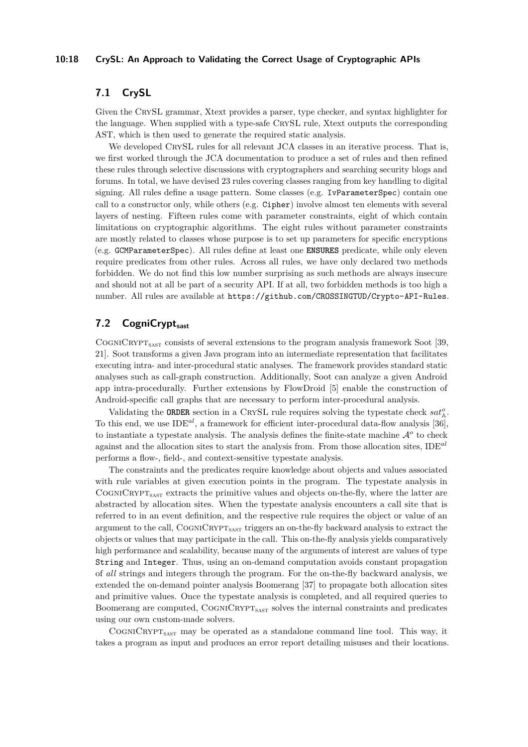### **10:18 CrySL: An Approach to Validating the Correct Usage of Cryptographic APIs**

# **7.1 CrySL**

Given the CrySL grammar, Xtext provides a parser, type checker, and syntax highlighter for the language. When supplied with a type-safe CrySL rule, Xtext outputs the corresponding AST, which is then used to generate the required static analysis.

We developed CRYSL rules for all relevant JCA classes in an iterative process. That is, we first worked through the JCA documentation to produce a set of rules and then refined these rules through selective discussions with cryptographers and searching security blogs and forums. In total, we have devised 23 rules covering classes ranging from key handling to digital signing. All rules define a usage pattern. Some classes (e.g. IvParameterSpec) contain one call to a constructor only, while others (e.g. Cipher) involve almost ten elements with several layers of nesting. Fifteen rules come with parameter constraints, eight of which contain limitations on cryptographic algorithms. The eight rules without parameter constraints are mostly related to classes whose purpose is to set up parameters for specific encryptions (e.g. GCMParameterSpec). All rules define at least one **ENSURES** predicate, while only eleven require predicates from other rules. Across all rules, we have only declared two methods forbidden. We do not find this low number surprising as such methods are always insecure and should not at all be part of a security API. If at all, two forbidden methods is too high a number. All rules are available at <https://github.com/CROSSINGTUD/Crypto-API-Rules>.

# **7.2 CogniCryptsast**

COGNICRYPT<sub>SAST</sub> consists of several extensions to the program analysis framework Soot [\[39,](#page-26-9) [21\]](#page-25-13). Soot transforms a given Java program into an intermediate representation that facilitates executing intra- and inter-procedural static analyses. The framework provides standard static analyses such as call-graph construction. Additionally, Soot can analyze a given Android app intra-procedurally. Further extensions by FlowDroid [\[5\]](#page-24-5) enable the construction of Android-specific call graphs that are necessary to perform inter-procedural analysis.

Validating the **ORDER** section in a CRYSL rule requires solving the typestate check  $sat^o_{\mathbb{A}}$ . To this end, we use IDE*al*, a framework for efficient inter-procedural data-flow analysis [\[36\]](#page-26-5), to instantiate a typestate analysis. The analysis defines the finite-state machine A*<sup>o</sup>* to check against and the allocation sites to start the analysis from. From those allocation sites, IDE*al* performs a flow-, field-, and context-sensitive typestate analysis.

The constraints and the predicates require knowledge about objects and values associated with rule variables at given execution points in the program. The typestate analysis in  $C$ OGNICRYPT<sub>SAST</sub> extracts the primitive values and objects on-the-fly, where the latter are abstracted by allocation sites. When the typestate analysis encounters a call site that is referred to in an event definition, and the respective rule requires the object or value of an argument to the call,  $\text{CoGNICRYPT}_{\text{SAST}}$  triggers an on-the-fly backward analysis to extract the objects or values that may participate in the call. This on-the-fly analysis yields comparatively high performance and scalability, because many of the arguments of interest are values of type String and Integer. Thus, using an on-demand computation avoids constant propagation of *all* strings and integers through the program. For the on-the-fly backward analysis, we extended the on-demand pointer analysis Boomerang [\[37\]](#page-26-10) to propagate both allocation sites and primitive values. Once the typestate analysis is completed, and all required queries to Boomerang are computed,  $\text{CoGNICRYPT}_{\text{sAST}}$  solves the internal constraints and predicates using our own custom-made solvers.

COGNICRYPT<sub>SAST</sub> may be operated as a standalone command line tool. This way, it takes a program as input and produces an error report detailing misuses and their locations.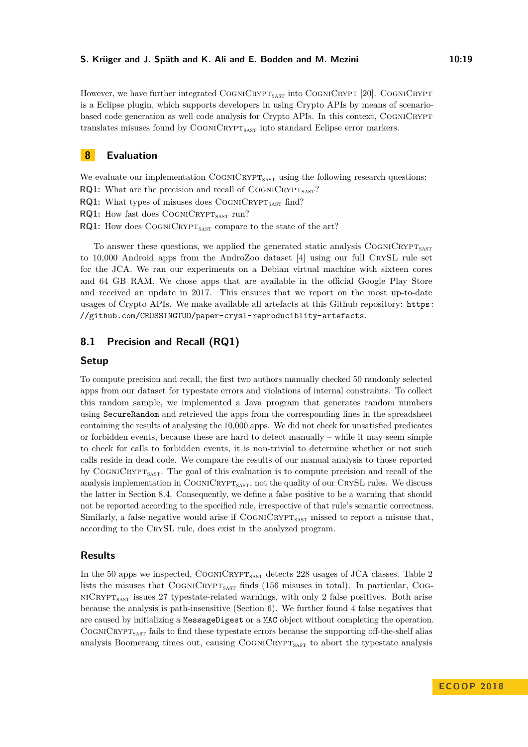However, we have further integrated  $\text{CoGNICRYPT}_{\text{SAST}}$  into  $\text{CoGNICRYPT}$  [\[20\]](#page-25-3). COGNICRYPT is a Eclipse plugin, which supports developers in using Crypto APIs by means of scenariobased code generation as well code analysis for Crypto APIs. In this context, COGNICRYPT translates misuses found by COGNICRYPT<sub>SAST</sub> into standard Eclipse error markers.

# <span id="page-18-0"></span>**8 Evaluation**

We evaluate our implementation COGNICRYPT<sub>SAST</sub> using the following research questions:

- **RQ1:** What are the precision and recall of  $COGNICRYPT<sub>SAST</sub>$ ?
- **RQ1:** What types of misuses does  $CogN/CRYPT<sub>SAST</sub>$  find?
- **RQ1:** How fast does COGNICRYPT<sub>SAST</sub> run?
- **RQ1:** How does COGNICRYPT<sub>SAST</sub> compare to the state of the art?

To answer these questions, we applied the generated static analysis  $\text{CoGNICRYPT}_{\text{sAST}}$ to 10,000 Android apps from the AndroZoo dataset [\[4\]](#page-24-10) using our full CrySL rule set for the JCA. We ran our experiments on a Debian virtual machine with sixteen cores and 64 GB RAM. We chose apps that are available in the official Google Play Store and received an update in 2017. This ensures that we report on the most up-to-date usages of Crypto APIs. We make available all artefacts at this Github repository: [https:](https://github.com/CROSSINGTUD/paper-crysl-reproduciblity-artefacts) [//github.com/CROSSINGTUD/paper-crysl-reproduciblity-artefacts](https://github.com/CROSSINGTUD/paper-crysl-reproduciblity-artefacts).

# <span id="page-18-1"></span>**8.1 Precision and Recall (RQ1)**

### **Setup**

To compute precision and recall, the first two authors manually checked 50 randomly selected apps from our dataset for typestate errors and violations of internal constraints. To collect this random sample, we implemented a Java program that generates random numbers using SecureRandom and retrieved the apps from the corresponding lines in the spreadsheet containing the results of analysing the 10,000 apps. We did not check for unsatisfied predicates or forbidden events, because these are hard to detect manually – while it may seem simple to check for calls to forbidden events, it is non-trivial to determine whether or not such calls reside in dead code. We compare the results of our manual analysis to those reported by COGNICRYPT<sub>SAST</sub>. The goal of this evaluation is to compute precision and recall of the analysis implementation in  $\text{CoC}\textsc{NPT}_{\text{SAST}}$ , not the quality of our CRYSL rules. We discuss the latter in Section [8.4.](#page-21-0) Consequently, we define a false positive to be a warning that should not be reported according to the specified rule, irrespective of that rule's semantic correctness. Similarly, a false negative would arise if COGNICRYPT<sub>SAST</sub> missed to report a misuse that, according to the CrySL rule, does exist in the analyzed program.

### **Results**

In the 50 apps we inspected,  $CognCRYPT<sub>SAST</sub>$  detects [2](#page-19-0)28 usages of JCA classes. Table 2 lists the misuses that  $CogN/CRYPT<sub>SAST</sub>$  finds (156 misuses in total). In particular, Cog- $NICRYPT<sub>SAST</sub>$  issues 27 typestate-related warnings, with only 2 false positives. Both arise because the analysis is path-insensitive (Section [6\)](#page-14-1). We further found 4 false negatives that are caused by initializing a MessageDigest or a MAC object without completing the operation. COGNICRYPT<sub>SAST</sub> fails to find these typestate errors because the supporting off-the-shelf alias analysis Boomerang times out, causing COGNICRYPT<sub>SAST</sub> to abort the typestate analysis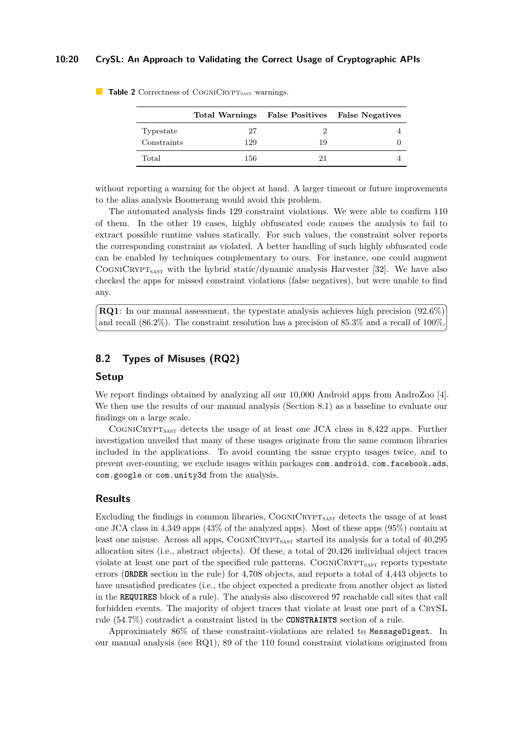### **10:20 CrySL: An Approach to Validating the Correct Usage of Cryptographic APIs**

|             |     |    | Total Warnings False Positives False Negatives |
|-------------|-----|----|------------------------------------------------|
| Typestate   | 27  |    |                                                |
| Constraints | 129 | 19 |                                                |
| Total       | 156 | 21 |                                                |

<span id="page-19-0"></span>**Table 2** Correctness of COGNICRYPT<sub>SAST</sub> warnings.

without reporting a warning for the object at hand. A larger timeout or future improvements to the alias analysis Boomerang would avoid this problem.

The automated analysis finds 129 constraint violations. We were able to confirm 110 of them. In the other 19 cases, highly obfuscated code causes the analysis to fail to extract possible runtime values statically. For such values, the constraint solver reports the corresponding constraint as violated. A better handling of such highly obfuscated code can be enabled by techniques complementary to ours. For instance, one could augment COGNICRYPT<sub>SAST</sub> with the hybrid static/dynamic analysis Harvester [\[32\]](#page-26-11). We have also checked the apps for missed constraint violations (false negatives), but were unable to find any.

**RQ1**: In our manual assessment, the typestate analysis achieves high precision (92.6%) and recall (86.2%). The constraint resolution has a precision of 85.3% and a recall of 100%.

# <span id="page-19-1"></span>**8.2 Types of Misuses (RQ2)**

### **Setup**

We report findings obtained by analyzing all our 10,000 Android apps from AndroZoo [\[4\]](#page-24-10). We then use the results of our manual analysis (Section [8.1\)](#page-18-1) as a baseline to evaluate our findings on a large scale.

COGNICRYPT<sub>SAST</sub> detects the usage of at least one JCA class in 8,422 apps. Further investigation unveiled that many of these usages originate from the same common libraries included in the applications. To avoid counting the same crypto usages twice, and to prevent over-counting, we exclude usages within packages com.android, com.facebook.ads, com.google or com.unity3d from the analysis.

# **Results**

Excluding the findings in common libraries, COGNICRYPT<sub>SAST</sub> detects the usage of at least one JCA class in 4,349 apps (43% of the analyzed apps). Most of these apps (95%) contain at least one misuse. Across all apps,  $\text{CoGNICRYP}_{\text{SAST}}$  started its analysis for a total of 40,295 allocation sites (i.e., abstract objects). Of these, a total of 20,426 individual object traces violate at least one part of the specified rule patterns. COGNICRYPT<sub>SAST</sub> reports typestate errors (**ORDER** section in the rule) for 4,708 objects, and reports a total of 4,443 objects to have unsatisfied predicates (i.e., the object expected a predicate from another object as listed in the **REQUIRES** block of a rule). The analysis also discovered 97 reachable call sites that call forbidden events. The majority of object traces that violate at least one part of a CrySL rule (54.7%) contradict a constraint listed in the **CONSTRAINTS** section of a rule.

Approximately 86% of these constraint-violations are related to MessageDigest. In our manual analysis (see RQ1), 89 of the 110 found constraint violations originated from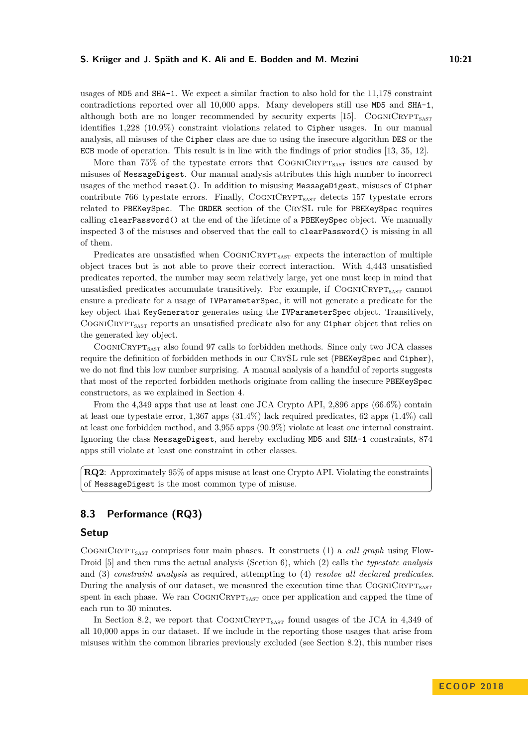usages of MD5 and SHA-1. We expect a similar fraction to also hold for the 11,178 constraint contradictions reported over all 10,000 apps. Many developers still use MD5 and SHA-1, although both are no longer recommended by security experts [\[15\]](#page-25-9). COGNICRYPT<sub>SAST</sub> identifies 1,228 (10.9%) constraint violations related to Cipher usages. In our manual analysis, all misuses of the Cipher class are due to using the insecure algorithm DES or the ECB mode of operation. This result is in line with the findings of prior studies [\[13,](#page-25-1) [35,](#page-26-7) [12\]](#page-25-2).

More than 75% of the typestate errors that  $\text{CoGNICRYPT}_{\text{SAST}}$  issues are caused by misuses of MessageDigest. Our manual analysis attributes this high number to incorrect usages of the method reset(). In addition to misusing MessageDigest, misuses of Cipher contribute  $766$  typestate errors. Finally, COGNICRYPT<sub>SAST</sub> detects 157 typestate errors related to PBEKeySpec. The **ORDER** section of the CrySL rule for PBEKeySpec requires calling clearPassword() at the end of the lifetime of a PBEKeySpec object. We manually inspected 3 of the misuses and observed that the call to clearPassword() is missing in all of them.

Predicates are unsatisfied when COGNICRYPT<sub>SAST</sub> expects the interaction of multiple object traces but is not able to prove their correct interaction. With 4,443 unsatisfied predicates reported, the number may seem relatively large, yet one must keep in mind that unsatisfied predicates accumulate transitively. For example, if  $\text{CoGNICRYPT}_{\text{SAST}}$  cannot ensure a predicate for a usage of IVParameterSpec, it will not generate a predicate for the key object that KeyGenerator generates using the IVParameterSpec object. Transitively, COGNICRYPT<sub>SAST</sub> reports an unsatisfied predicate also for any Cipher object that relies on the generated key object.

COGNICRYPT<sub>SAST</sub> also found 97 calls to forbidden methods. Since only two JCA classes require the definition of forbidden methods in our CrySL rule set (PBEKeySpec and Cipher), we do not find this low number surprising. A manual analysis of a handful of reports suggests that most of the reported forbidden methods originate from calling the insecure PBEKeySpec constructors, as we explained in Section [4.](#page-7-0)

From the 4,349 apps that use at least one JCA Crypto API, 2,896 apps (66.6%) contain at least one typestate error, 1,367 apps (31.4%) lack required predicates, 62 apps (1.4%) call at least one forbidden method, and 3,955 apps (90.9%) violate at least one internal constraint. Ignoring the class MessageDigest, and hereby excluding MD5 and SHA-1 constraints, 874 apps still violate at least one constraint in other classes.

**RQ2**: Approximately 95% of apps misuse at least one Crypto API. Violating the constraints of MessageDigest is the most common type of misuse.

# **8.3 Performance (RQ3)**

### **Setup**

COGNICRYPT<sub>SAST</sub> comprises four main phases. It constructs (1) a *call graph* using Flow-Droid [\[5\]](#page-24-5) and then runs the actual analysis (Section [6\)](#page-14-1), which (2) calls the *typestate analysis* and (3) *constraint analysis* as required, attempting to (4) *resolve all declared predicates*. During the analysis of our dataset, we measured the execution time that  $\text{Co} \text{GNN} \text{C}\text{R}\text{Y}\text{P}\text{T}_{\text{s}\text{A}\text{S}\text{T}}$ spent in each phase. We ran  $\text{CoGN/CRYPT}_{\text{SAST}}$  once per application and capped the time of each run to 30 minutes.

In Section [8.2,](#page-19-1) we report that  $\text{CoGNICRYPT}_{\text{SAST}}$  found usages of the JCA in 4,349 of all 10,000 apps in our dataset. If we include in the reporting those usages that arise from misuses within the common libraries previously excluded (see Section [8.2\)](#page-19-1), this number rises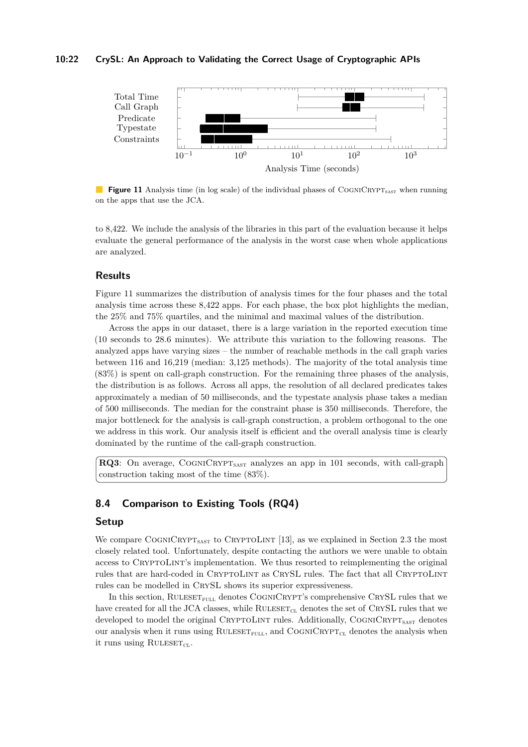### **10:22 CrySL: An Approach to Validating the Correct Usage of Cryptographic APIs**

<span id="page-21-1"></span>

**Figure 11** Analysis time (in log scale) of the individual phases of COGNICRYPT<sub>SAST</sub> when running on the apps that use the JCA.

to 8,422. We include the analysis of the libraries in this part of the evaluation because it helps evaluate the general performance of the analysis in the worst case when whole applications are analyzed.

### **Results**

Figure [11](#page-21-1) summarizes the distribution of analysis times for the four phases and the total analysis time across these 8,422 apps. For each phase, the box plot highlights the median, the 25% and 75% quartiles, and the minimal and maximal values of the distribution.

Across the apps in our dataset, there is a large variation in the reported execution time (10 seconds to 28.6 minutes). We attribute this variation to the following reasons. The analyzed apps have varying sizes – the number of reachable methods in the call graph varies between 116 and 16,219 (median: 3,125 methods). The majority of the total analysis time (83%) is spent on call-graph construction. For the remaining three phases of the analysis, the distribution is as follows. Across all apps, the resolution of all declared predicates takes approximately a median of 50 milliseconds, and the typestate analysis phase takes a median of 500 milliseconds. The median for the constraint phase is 350 milliseconds. Therefore, the major bottleneck for the analysis is call-graph construction, a problem orthogonal to the one we address in this work. Our analysis itself is efficient and the overall analysis time is clearly dominated by the runtime of the call-graph construction.

**RQ3**: On average, COGNICRYPT<sub>SAST</sub> analyzes an app in 101 seconds, with call-graph construction taking most of the time (83%).

### <span id="page-21-0"></span>**8.4 Comparison to Existing Tools (RQ4)**

### **Setup**

We compare COGNICRYPT<sub>SAST</sub> to CRYPTOLINT [\[13\]](#page-25-1), as we explained in Section [2.3](#page-3-0) the most closely related tool. Unfortunately, despite contacting the authors we were unable to obtain access to CRYPTOLINT's implementation. We thus resorted to reimplementing the original rules that are hard-coded in CRYPTOLINT as CRYSL rules. The fact that all CRYPTOLINT rules can be modelled in CrySL shows its superior expressiveness.

In this section,  $RUEST_{FULL}$  denotes  $COGN/CRYPT$ 's comprehensive CRYSL rules that we have created for all the JCA classes, while  $RULESET_{CL}$  denotes the set of CRYSL rules that we developed to model the original CRYPTOLINT rules. Additionally, COGNICRYPT<sub>SAST</sub> denotes our analysis when it runs using  $\text{RULESET}_{\text{FULL}}$ , and  $\text{COGNICRYPT}_{\text{CL}}$  denotes the analysis when it runs using  $\text{RULESET}_{CL}$ .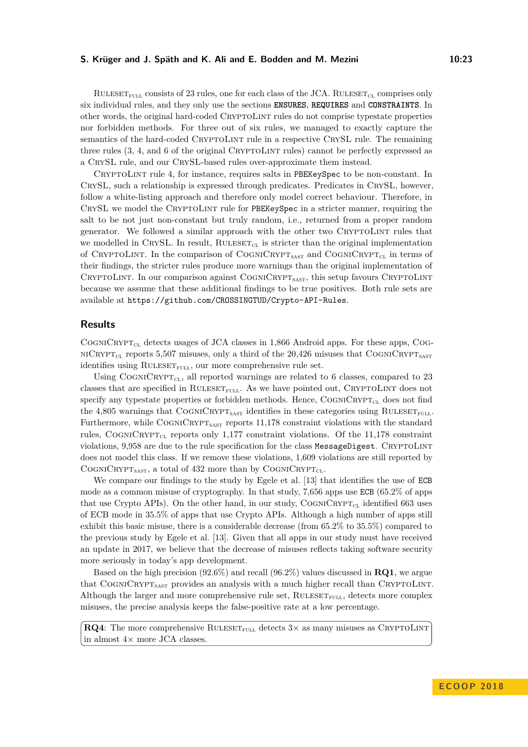RULESET<sub>FULL</sub> consists of 23 rules, one for each class of the JCA. RULESET<sub>CL</sub> comprises only six individual rules, and they only use the sections **ENSURES**, **REQUIRES** and **CONSTRAINTS**. In other words, the original hard-coded CryptoLint rules do not comprise typestate properties nor forbidden methods. For three out of six rules, we managed to exactly capture the semantics of the hard-coded CRYPTOLINT rule in a respective CRYSL rule. The remaining three rules  $(3, 4, \text{ and } 6 \text{ of the original C_RYPTOLINT rules})$  cannot be perfectly expressed as a CrySL rule, and our CrySL-based rules over-approximate them instead.

CryptoLint rule 4, for instance, requires salts in PBEKeySpec to be non-constant. In CrySL, such a relationship is expressed through predicates. Predicates in CrySL, however, follow a white-listing approach and therefore only model correct behaviour. Therefore, in CrySL we model the CryptoLint rule for PBEKeySpec in a stricter manner, requiring the salt to be not just non-constant but truly random, i.e., returned from a proper random generator. We followed a similar approach with the other two CRYPTOLINT rules that we modelled in CRYSL. In result,  $\text{RULESET}_{CL}$  is stricter than the original implementation of CRYPTOLINT. In the comparison of COGNICRYPT<sub>SAST</sub> and COGNICRYPT<sub>CL</sub> in terms of their findings, the stricter rules produce more warnings than the original implementation of CRYPTOLINT. In our comparison against  $\text{CogniC}\xspace_{\text{RYPT}_\text{SAST}}$ , this setup favours CRYPTOLINT because we assume that these additional findings to be true positives. Both rule sets are available at <https://github.com/CROSSINGTUD/Crypto-API-Rules>.

# **Results**

 $\text{CoGNICRYPT}_{\text{CL}}$  detects usages of JCA classes in 1,866 Android apps. For these apps, CoG- $NICRYPT<sub>CL</sub>$  reports 5,507 misuses, only a third of the 20,426 misuses that COGNICRYPT<sub>SAST</sub> identifies using  $\text{RULESET}_{\text{FULL}}$ , our more comprehensive rule set.

Using COGNICRYPT<sub>CL</sub>, all reported warnings are related to 6 classes, compared to 23 classes that are specified in  $\text{RULESET}_{\text{FULL}}$ . As we have pointed out, CRYPTOLINT does not specify any typestate properties or forbidden methods. Hence,  $\text{CoCNN}$ RYPT<sub>CL</sub> does not find the 4,805 warnings that COGNICRYPT<sub>SAST</sub> identifies in these categories using RULESET<sub>FULL</sub>. Furthermore, while  $\text{CoGNICRYPT}_{\text{SAST}}$  reports 11,178 constraint violations with the standard rules, COGNICRYPT<sub>CL</sub> reports only 1,177 constraint violations. Of the 11,178 constraint violations, 9,958 are due to the rule specification for the class MessageDigest. CRYPTOLINT does not model this class. If we remove these violations, 1,609 violations are still reported by COGNICRYPT<sub>SAST</sub>, a total of 432 more than by COGNICRYPT<sub>CL</sub>.

We compare our findings to the study by Egele et al. [\[13\]](#page-25-1) that identifies the use of ECB mode as a common misuse of cryptography. In that study, 7,656 apps use ECB (65.2% of apps that use Crypto APIs). On the other hand, in our study,  $\text{CoGN/CRYP1}_{\text{CL}}$  identified 663 uses of ECB mode in 35.5% of apps that use Crypto APIs. Although a high number of apps still exhibit this basic misuse, there is a considerable decrease (from 65.2% to 35.5%) compared to the previous study by Egele et al. [\[13\]](#page-25-1). Given that all apps in our study must have received an update in 2017, we believe that the decrease of misuses reflects taking software security more seriously in today's app development.

Based on the high precision (92.6%) and recall (96.2%) values discussed in **RQ1**, we argue that  $\text{CoGN/CRYPT}_{\text{SAST}}$  provides an analysis with a much higher recall than CRYPTOLINT. Although the larger and more comprehensive rule set,  $\text{RULESET}_{\text{FUL}}$ , detects more complex misuses, the precise analysis keeps the false-positive rate at a low percentage.

**RQ4**: The more comprehensive RULESET<sub>FULL</sub> detects  $3 \times$  as many misuses as CRYPTOLINT in almost  $4\times$  more JCA classes.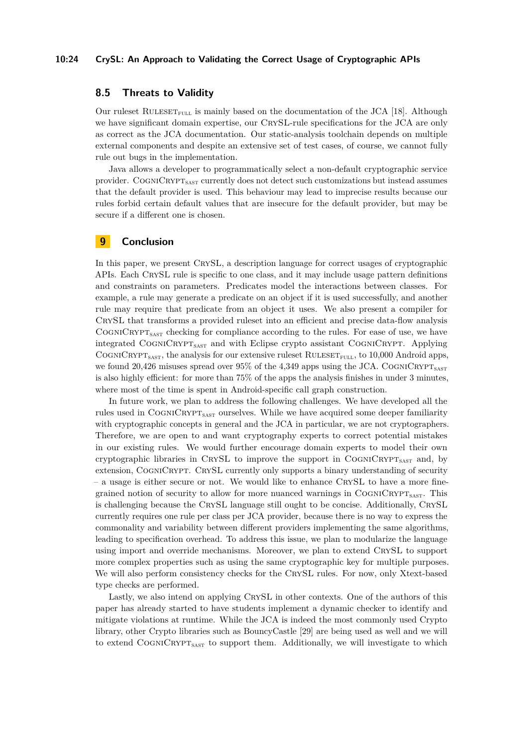### **10:24 CrySL: An Approach to Validating the Correct Usage of Cryptographic APIs**

# **8.5 Threats to Validity**

Our ruleset RULESET<sub>FULL</sub> is mainly based on the documentation of the JCA [\[18\]](#page-25-14). Although we have significant domain expertise, our CRYSL-rule specifications for the JCA are only as correct as the JCA documentation. Our static-analysis toolchain depends on multiple external components and despite an extensive set of test cases, of course, we cannot fully rule out bugs in the implementation.

Java allows a developer to programmatically select a non-default cryptographic service provider. COGNICRYPT<sub>SAST</sub> currently does not detect such customizations but instead assumes that the default provider is used. This behaviour may lead to imprecise results because our rules forbid certain default values that are insecure for the default provider, but may be secure if a different one is chosen.

# **9 Conclusion**

In this paper, we present CrySL, a description language for correct usages of cryptographic APIs. Each CrySL rule is specific to one class, and it may include usage pattern definitions and constraints on parameters. Predicates model the interactions between classes. For example, a rule may generate a predicate on an object if it is used successfully, and another rule may require that predicate from an object it uses. We also present a compiler for CrySL that transforms a provided ruleset into an efficient and precise data-flow analysis COGNICRYPT<sub>SAST</sub> checking for compliance according to the rules. For ease of use, we have integrated COGNICRYPT<sub>SAST</sub> and with Eclipse crypto assistant COGNICRYPT. Applying COGNICRYPT<sub>SAST</sub>, the analysis for our extensive ruleset RULESET<sub>FULL</sub>, to 10,000 Android apps, we found 20,426 misuses spread over  $95\%$  of the 4,349 apps using the JCA. COGNICRYPT<sub>SAST</sub> is also highly efficient: for more than 75% of the apps the analysis finishes in under 3 minutes, where most of the time is spent in Android-specific call graph construction.

In future work, we plan to address the following challenges. We have developed all the rules used in COGNICRYPT<sub>SAST</sub> ourselves. While we have acquired some deeper familiarity with cryptographic concepts in general and the JCA in particular, we are not cryptographers. Therefore, we are open to and want cryptography experts to correct potential mistakes in our existing rules. We would further encourage domain experts to model their own cryptographic libraries in CRYSL to improve the support in  $\text{CoGNICRYPT}_{\text{SAST}}$  and, by extension, COGNICRYPT. CRYSL currently only supports a binary understanding of security – a usage is either secure or not. We would like to enhance CrySL to have a more finegrained notion of security to allow for more nuanced warnings in  $\text{CoGNICRYPT}_{\text{SAST}}$ . This is challenging because the CrySL language still ought to be concise. Additionally, CrySL currently requires one rule per class per JCA provider, because there is no way to express the commonality and variability between different providers implementing the same algorithms, leading to specification overhead. To address this issue, we plan to modularize the language using import and override mechanisms. Moreover, we plan to extend CRYSL to support more complex properties such as using the same cryptographic key for multiple purposes. We will also perform consistency checks for the CrySL rules. For now, only Xtext-based type checks are performed.

Lastly, we also intend on applying CrySL in other contexts. One of the authors of this paper has already started to have students implement a dynamic checker to identify and mitigate violations at runtime. While the JCA is indeed the most commonly used Crypto library, other Crypto libraries such as BouncyCastle [\[29\]](#page-26-12) are being used as well and we will to extend  $\text{Co}$ GNICRYPT<sub>SAST</sub> to support them. Additionally, we will investigate to which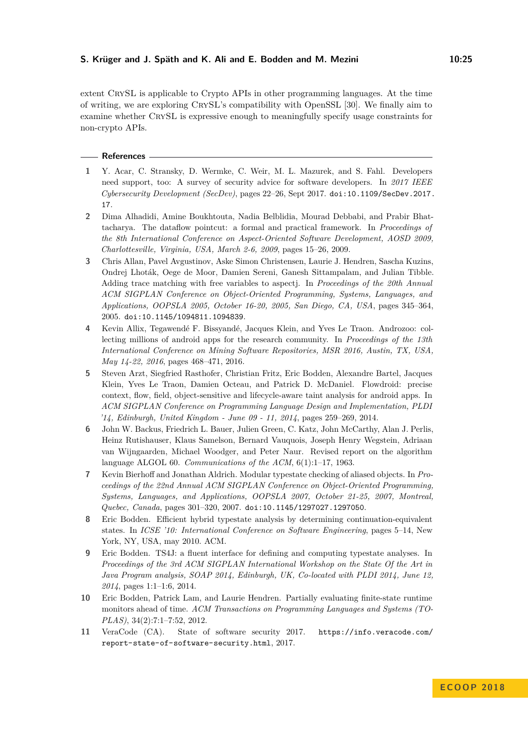extent CrySL is applicable to Crypto APIs in other programming languages. At the time of writing, we are exploring CrySL's compatibility with OpenSSL [\[30\]](#page-26-13). We finally aim to examine whether CrySL is expressive enough to meaningfully specify usage constraints for non-crypto APIs.

### **References**

- <span id="page-24-8"></span>**1** Y. Acar, C. Stransky, D. Wermke, C. Weir, M. L. Mazurek, and S. Fahl. Developers need support, too: A survey of security advice for software developers. In *2017 IEEE Cybersecurity Development (SecDev)*, pages 22–26, Sept 2017. [doi:10.1109/SecDev.2017.](http://dx.doi.org/10.1109/SecDev.2017.17) [17](http://dx.doi.org/10.1109/SecDev.2017.17).
- <span id="page-24-4"></span>**2** Dima Alhadidi, Amine Boukhtouta, Nadia Belblidia, Mourad Debbabi, and Prabir Bhattacharya. The dataflow pointcut: a formal and practical framework. In *Proceedings of the 8th International Conference on Aspect-Oriented Software Development, AOSD 2009, Charlottesville, Virginia, USA, March 2-6, 2009*, pages 15–26, 2009.
- <span id="page-24-1"></span>**3** Chris Allan, Pavel Avgustinov, Aske Simon Christensen, Laurie J. Hendren, Sascha Kuzins, Ondrej Lhoták, Oege de Moor, Damien Sereni, Ganesh Sittampalam, and Julian Tibble. Adding trace matching with free variables to aspectj. In *Proceedings of the 20th Annual ACM SIGPLAN Conference on Object-Oriented Programming, Systems, Languages, and Applications, OOPSLA 2005, October 16-20, 2005, San Diego, CA, USA*, pages 345–364, 2005. [doi:10.1145/1094811.1094839](http://dx.doi.org/10.1145/1094811.1094839).
- <span id="page-24-10"></span>**4** Kevin Allix, Tegawendé F. Bissyandé, Jacques Klein, and Yves Le Traon. Androzoo: collecting millions of android apps for the research community. In *Proceedings of the 13th International Conference on Mining Software Repositories, MSR 2016, Austin, TX, USA, May 14-22, 2016*, pages 468–471, 2016.
- <span id="page-24-5"></span>**5** Steven Arzt, Siegfried Rasthofer, Christian Fritz, Eric Bodden, Alexandre Bartel, Jacques Klein, Yves Le Traon, Damien Octeau, and Patrick D. McDaniel. Flowdroid: precise context, flow, field, object-sensitive and lifecycle-aware taint analysis for android apps. In *ACM SIGPLAN Conference on Programming Language Design and Implementation, PLDI '14, Edinburgh, United Kingdom - June 09 - 11, 2014*, pages 259–269, 2014.
- <span id="page-24-9"></span>**6** John W. Backus, Friedrich L. Bauer, Julien Green, C. Katz, John McCarthy, Alan J. Perlis, Heinz Rutishauser, Klaus Samelson, Bernard Vauquois, Joseph Henry Wegstein, Adriaan van Wijngaarden, Michael Woodger, and Peter Naur. Revised report on the algorithm language ALGOL 60. *Communications of the ACM*, 6(1):1–17, 1963.
- <span id="page-24-2"></span>**7** Kevin Bierhoff and Jonathan Aldrich. Modular typestate checking of aliased objects. In *Proceedings of the 22nd Annual ACM SIGPLAN Conference on Object-Oriented Programming, Systems, Languages, and Applications, OOPSLA 2007, October 21-25, 2007, Montreal, Quebec, Canada*, pages 301–320, 2007. [doi:10.1145/1297027.1297050](http://dx.doi.org/10.1145/1297027.1297050).
- <span id="page-24-3"></span>**8** Eric Bodden. Efficient hybrid typestate analysis by determining continuation-equivalent states. In *ICSE '10: International Conference on Software Engineering*, pages 5–14, New York, NY, USA, may 2010. ACM.
- <span id="page-24-7"></span>**9** Eric Bodden. TS4J: a fluent interface for defining and computing typestate analyses. In *Proceedings of the 3rd ACM SIGPLAN International Workshop on the State Of the Art in Java Program analysis, SOAP 2014, Edinburgh, UK, Co-located with PLDI 2014, June 12, 2014*, pages 1:1–1:6, 2014.
- <span id="page-24-6"></span>**10** Eric Bodden, Patrick Lam, and Laurie Hendren. Partially evaluating finite-state runtime monitors ahead of time. *ACM Transactions on Programming Languages and Systems (TO-PLAS)*, 34(2):7:1–7:52, 2012.
- <span id="page-24-0"></span>**11** VeraCode (CA). State of software security 2017. [https://info.veracode.com/](https://info.veracode.com/report-state-of-software-security.html) [report-state-of-software-security.html](https://info.veracode.com/report-state-of-software-security.html), 2017.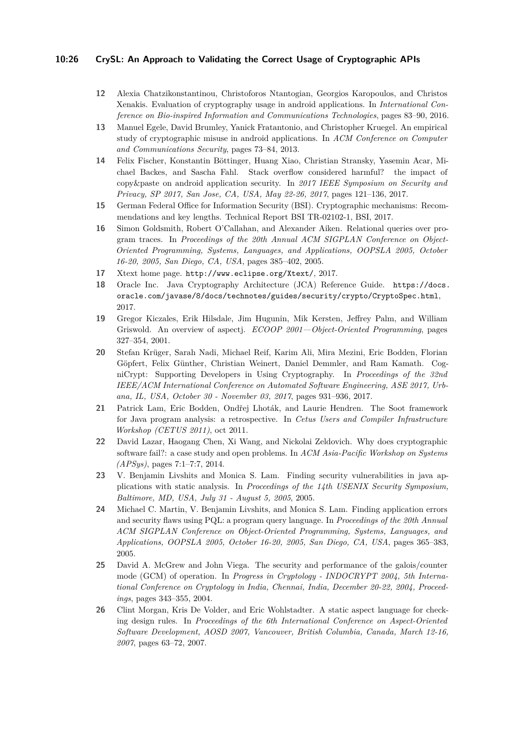### **10:26 CrySL: An Approach to Validating the Correct Usage of Cryptographic APIs**

- <span id="page-25-2"></span>**12** Alexia Chatzikonstantinou, Christoforos Ntantogian, Georgios Karopoulos, and Christos Xenakis. Evaluation of cryptography usage in android applications. In *International Conference on Bio-inspired Information and Communications Technologies*, pages 83–90, 2016.
- <span id="page-25-1"></span>**13** Manuel Egele, David Brumley, Yanick Fratantonio, and Christopher Kruegel. An empirical study of cryptographic misuse in android applications. In *ACM Conference on Computer and Communications Security*, pages 73–84, 2013.
- <span id="page-25-10"></span>**14** Felix Fischer, Konstantin Böttinger, Huang Xiao, Christian Stransky, Yasemin Acar, Michael Backes, and Sascha Fahl. Stack overflow considered harmful? the impact of copy&paste on android application security. In *2017 IEEE Symposium on Security and Privacy, SP 2017, San Jose, CA, USA, May 22-26, 2017*, pages 121–136, 2017.
- <span id="page-25-9"></span>**15** German Federal Office for Information Security (BSI). Cryptographic mechanisms: Recommendations and key lengths. Technical Report BSI TR-02102-1, BSI, 2017.
- <span id="page-25-6"></span>**16** Simon Goldsmith, Robert O'Callahan, and Alexander Aiken. Relational queries over program traces. In *Proceedings of the 20th Annual ACM SIGPLAN Conference on Object-Oriented Programming, Systems, Languages, and Applications, OOPSLA 2005, October 16-20, 2005, San Diego, CA, USA*, pages 385–402, 2005.
- <span id="page-25-12"></span>**17** Xtext home page. <http://www.eclipse.org/Xtext/>, 2017.
- <span id="page-25-14"></span>**18** Oracle Inc. Java Cryptography Architecture (JCA) Reference Guide. [https://docs.](https://docs.oracle.com/javase/8/docs/technotes/guides/security/crypto/CryptoSpec.html) [oracle.com/javase/8/docs/technotes/guides/security/crypto/CryptoSpec.html](https://docs.oracle.com/javase/8/docs/technotes/guides/security/crypto/CryptoSpec.html), 2017.
- <span id="page-25-11"></span>**19** Gregor Kiczales, Erik Hilsdale, Jim Hugunin, Mik Kersten, Jeffrey Palm, and William Griswold. An overview of aspectj. *ECOOP 2001—Object-Oriented Programming*, pages 327–354, 2001.
- <span id="page-25-3"></span>**20** Stefan Krüger, Sarah Nadi, Michael Reif, Karim Ali, Mira Mezini, Eric Bodden, Florian Göpfert, Felix Günther, Christian Weinert, Daniel Demmler, and Ram Kamath. CogniCrypt: Supporting Developers in Using Cryptography. In *Proceedings of the 32nd IEEE/ACM International Conference on Automated Software Engineering, ASE 2017, Urbana, IL, USA, October 30 - November 03, 2017*, pages 931–936, 2017.
- <span id="page-25-13"></span>**21** Patrick Lam, Eric Bodden, Ondřej Lhoták, and Laurie Hendren. The Soot framework for Java program analysis: a retrospective. In *Cetus Users and Compiler Infrastructure Workshop (CETUS 2011)*, oct 2011.
- <span id="page-25-0"></span>**22** David Lazar, Haogang Chen, Xi Wang, and Nickolai Zeldovich. Why does cryptographic software fail?: a case study and open problems. In *ACM Asia-Pacific Workshop on Systems (APSys)*, pages 7:1–7:7, 2014.
- <span id="page-25-5"></span>**23** V. Benjamin Livshits and Monica S. Lam. Finding security vulnerabilities in java applications with static analysis. In *Proceedings of the 14th USENIX Security Symposium, Baltimore, MD, USA, July 31 - August 5, 2005*, 2005.
- <span id="page-25-4"></span>**24** Michael C. Martin, V. Benjamin Livshits, and Monica S. Lam. Finding application errors and security flaws using PQL: a program query language. In *Proceedings of the 20th Annual ACM SIGPLAN Conference on Object-Oriented Programming, Systems, Languages, and Applications, OOPSLA 2005, October 16-20, 2005, San Diego, CA, USA*, pages 365–383, 2005.
- <span id="page-25-8"></span>**25** David A. McGrew and John Viega. The security and performance of the galois/counter mode (GCM) of operation. In *Progress in Cryptology - INDOCRYPT 2004, 5th International Conference on Cryptology in India, Chennai, India, December 20-22, 2004, Proceedings*, pages 343–355, 2004.
- <span id="page-25-7"></span>**26** Clint Morgan, Kris De Volder, and Eric Wohlstadter. A static aspect language for checking design rules. In *Proceedings of the 6th International Conference on Aspect-Oriented Software Development, AOSD 2007, Vancouver, British Columbia, Canada, March 12-16, 2007*, pages 63–72, 2007.